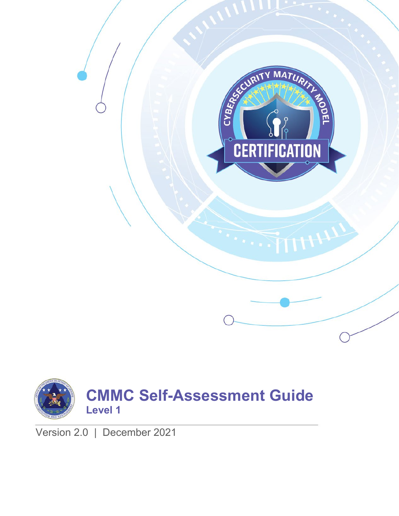



Version 2.0 | December 2021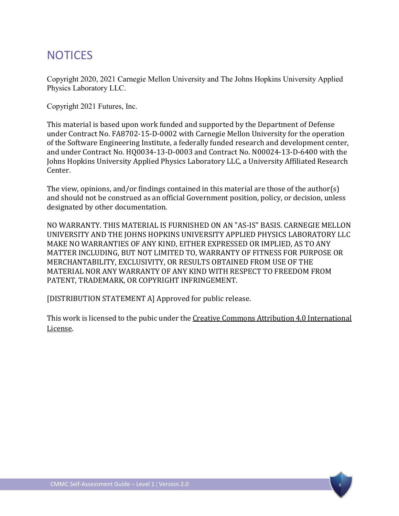## **NOTICES**

Copyright 2020, 2021 Carnegie Mellon University and The Johns Hopkins University Applied Physics Laboratory LLC.

Copyright 2021 Futures, Inc.

This material is based upon work funded and supported by the Department of Defense under Contract No. FA8702-15-D-0002 with Carnegie Mellon University for the operation of the Software Engineering Institute, a federally funded research and development center, and under Contract No. HQ0034-13-D-0003 and Contract No. N00024-13-D-6400 with the Johns Hopkins University Applied Physics Laboratory LLC, a University Affiliated Research Center.

The view, opinions, and/or findings contained in this material are those of the author(s) and should not be construed as an official Government position, policy, or decision, unless designated by other documentation.

NO WARRANTY. THIS MATERIAL IS FURNISHED ON AN "AS-IS" BASIS. CARNEGIE MELLON UNIVERSITY AND THE JOHNS HOPKINS UNIVERSITY APPLIED PHYSICS LABORATORY LLC MAKE NO WARRANTIES OF ANY KIND, EITHER EXPRESSED OR IMPLIED, AS TO ANY MATTER INCLUDING, BUT NOT LIMITED TO, WARRANTY OF FITNESS FOR PURPOSE OR MERCHANTABILITY, EXCLUSIVITY, OR RESULTS OBTAINED FROM USE OF THE MATERIAL NOR ANY WARRANTY OF ANY KIND WITH RESPECT TO FREEDOM FROM PATENT, TRADEMARK, OR COPYRIGHT INFRINGEMENT.

[DISTRIBUTION STATEMENT A] Approved for public release.

This work is licensed to the pubic under th[e Creative Commons Attribution 4.0 International](https://creativecommons.org/licenses/by/4.0/)  [License.](https://creativecommons.org/licenses/by/4.0/)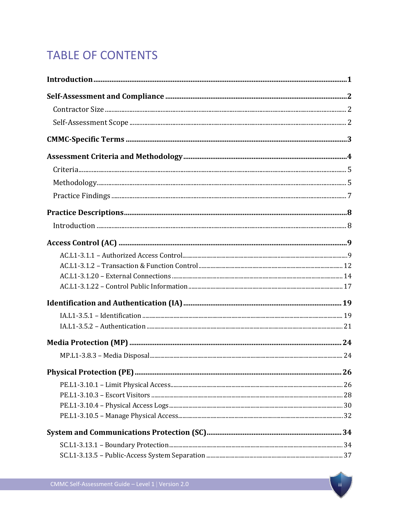# **TABLE OF CONTENTS**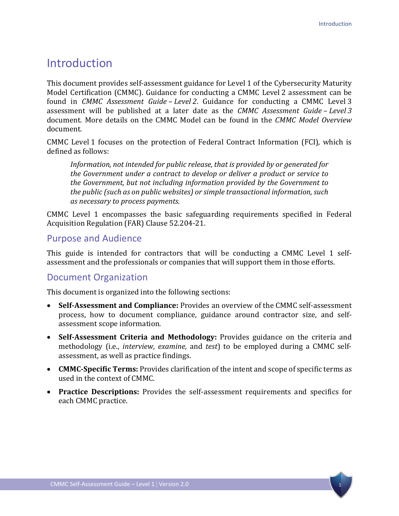## <span id="page-4-0"></span>Introduction

This document provides self-assessment guidance for Level 1 of the Cybersecurity Maturity Model Certification (CMMC). Guidance for conducting a CMMC Level 2 assessment can be found in *CMMC Assessment Guide – Level 2*. Guidance for conducting a CMMC Level 3 assessment will be published at a later date as the *CMMC Assessment Guide – Level 3*  document. More details on the CMMC Model can be found in the *CMMC Model Overview* document.

CMMC Level 1 focuses on the protection of Federal Contract Information (FCI), which is defined as follows:

*Information, not intended for public release, that is provided by or generated for the Government under a contract to develop or deliver a product or service to the Government, but not including information provided by the Government to the public (such as on public websites) or simple transactional information, such as necessary to process payments.*

CMMC Level 1 encompasses the basic safeguarding requirements specified in Federal Acquisition Regulation (FAR) Clause 52.204-21.

## Purpose and Audience

This guide is intended for contractors that will be conducting a CMMC Level 1 selfassessment and the professionals or companies that will support them in those efforts.

## Document Organization

This document is organized into the following sections:

- **Self-Assessment and Compliance:** Provides an overview of the CMMC self-assessment process, how to document compliance, guidance around contractor size, and selfassessment scope information.
- **Self-Assessment Criteria and Methodology:** Provides guidance on the criteria and methodology (i.e., *interview*, *examine*, and *test*) to be employed during a CMMC selfassessment, as well as practice findings.
- **CMMC-Specific Terms:** Provides clarification of the intent and scope of specific terms as used in the context of CMMC.
- **Practice Descriptions:** Provides the self-assessment requirements and specifics for each CMMC practice.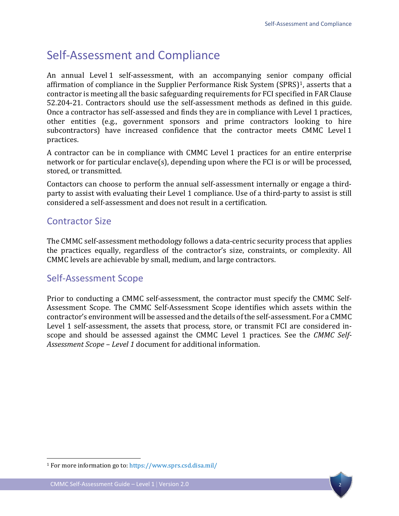# <span id="page-5-0"></span>Self-Assessment and Compliance

An annual Level 1 self-assessment, with an accompanying senior company official affirmation of compliance in the Supplier Performance Risk System (SPRS)<sup>1</sup>, asserts that a contractor is meeting all the basic safeguarding requirements for FCI specified in FAR Clause 52.204-21. Contractors should use the self-assessment methods as defined in this guide. Once a contractor has self-assessed and finds they are in compliance with Level 1 practices, other entities (e.g., government sponsors and prime contractors looking to hire subcontractors) have increased confidence that the contractor meets CMMC Level 1 practices.

A contractor can be in compliance with CMMC Level 1 practices for an entire enterprise network or for particular enclave(s), depending upon where the FCI is or will be processed, stored, or transmitted.

Contactors can choose to perform the annual self-assessment internally or engage a thirdparty to assist with evaluating their Level 1 compliance. Use of a third-party to assist is still considered a self-assessment and does not result in a certification.

## <span id="page-5-1"></span>Contractor Size

The CMMC self-assessment methodology follows a data-centric security process that applies the practices equally, regardless of the contractor's size, constraints, or complexity. All CMMC levels are achievable by small, medium, and large contractors.

## <span id="page-5-2"></span>Self-Assessment Scope

Prior to conducting a CMMC self-assessment, the contractor must specify the CMMC Self-Assessment Scope. The CMMC Self-Assessment Scope identifies which assets within the contractor's environment will be assessed and the details of the self-assessment. For a CMMC Level 1 self-assessment, the assets that process, store, or transmit FCI are considered inscope and should be assessed against the CMMC Level 1 practices. See the *CMMC Self-Assessment Scope – Level 1* document for additional information.



<span id="page-5-3"></span><sup>1</sup> For more information go to:<https://www.sprs.csd.disa.mil/>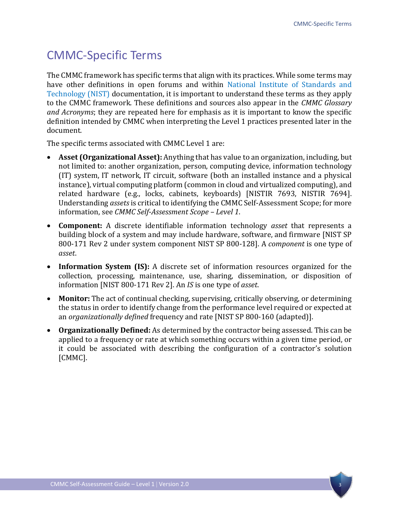# <span id="page-6-0"></span>CMMC-Specific Terms

The CMMC framework has specific terms that align with its practices. While some terms may have other definitions in open forums and within [National Institute of Standards and](https://www.nist.gov/publications)  [Technology \(NIST\)](https://www.nist.gov/publications) documentation, it is important to understand these terms as they apply to the CMMC framework. These definitions and sources also appear in the *CMMC Glossary and Acronyms*; they are repeated here for emphasis as it is important to know the specific definition intended by CMMC when interpreting the Level 1 practices presented later in the document.

The specific terms associated with CMMC Level 1 are:

- **Asset (Organizational Asset):** Anything that has value to an organization, including, but not limited to: another organization, person, computing device, information technology (IT) system, IT network, IT circuit, software (both an installed instance and a physical instance), virtual computing platform (common in cloud and virtualized computing), and related hardware (e.g., locks, cabinets, keyboards) [NISTIR 7693, NISTIR 7694]. Understanding *assets*is critical to identifying the CMMC Self-Assessment Scope; for more information, see *CMMC Self-Assessment Scope – Level 1*.
- **Component:** A discrete identifiable information technology *asset* that represents a building block of a system and may include hardware, software, and firmware [NIST SP 800-171 Rev 2 under system component NIST SP 800-128]. A *component* is one type of *asset*.
- **Information System (IS):** A discrete set of information resources organized for the collection, processing, maintenance, use, sharing, dissemination, or disposition of information [NIST 800-171 Rev 2]. An *IS* is one type of *asset*.
- **Monitor:** The act of continual checking, supervising, critically observing, or determining the status in order to identify change from the performance level required or expected at an *organizationally defined* frequency and rate [NIST SP 800-160 (adapted)].
- **Organizationally Defined:** As determined by the contractor being assessed. This can be applied to a frequency or rate at which something occurs within a given time period, or it could be associated with describing the configuration of a contractor's solution [CMMC].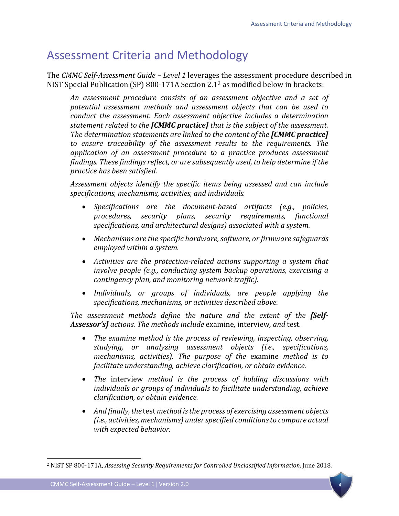## <span id="page-7-0"></span>Assessment Criteria and Methodology

The *CMMC Self-Assessment Guide – Level 1* leverages the assessment procedure described in NIST Special Publication (SP) 800-171A Section 2.1[2](#page-7-1) as modified below in brackets:

*An assessment procedure consists of an assessment objective and a set of potential assessment methods and assessment objects that can be used to conduct the assessment. Each assessment objective includes a determination statement related to the [CMMC practice] that is the subject of the assessment. The determination statements are linked to the content of the [CMMC practice] to ensure traceability of the assessment results to the requirements. The application of an assessment procedure to a practice produces assessment findings. These findings reflect, or are subsequently used, to help determine if the practice has been satisfied.*

*Assessment objects identify the specific items being assessed and can include specifications, mechanisms, activities, and individuals.* 

- *Specifications are the document-based artifacts (e.g., policies, procedures, security plans, security requirements, functional specifications, and architectural designs) associated with a system.*
- *Mechanisms are the specific hardware, software, or firmware safeguards employed within a system.*
- *Activities are the protection-related actions supporting a system that involve people (e.g., conducting system backup operations, exercising a contingency plan, and monitoring network traffic).*
- *Individuals, or groups of individuals, are people applying the specifications, mechanisms, or activities described above.*

*The assessment methods define the nature and the extent of the [Self-Assessor's] actions. The methods include* examine*,* interview*, and* test*.* 

- *The examine method is the process of reviewing, inspecting, observing, studying, or analyzing assessment objects (i.e., specifications, mechanisms, activities). The purpose of the* examine *method is to facilitate understanding, achieve clarification, or obtain evidence.*
- *The* interview *method is the process of holding discussions with individuals or groups of individuals to facilitate understanding, achieve clarification, or obtain evidence.*
- *And finally, the* test *method is the process of exercising assessment objects (i.e., activities, mechanisms) under specified conditions to compare actual with expected behavior.*

<span id="page-7-1"></span><sup>2</sup> NIST SP 800-171A, *Assessing Security Requirements for Controlled Unclassified Information,* June 2018.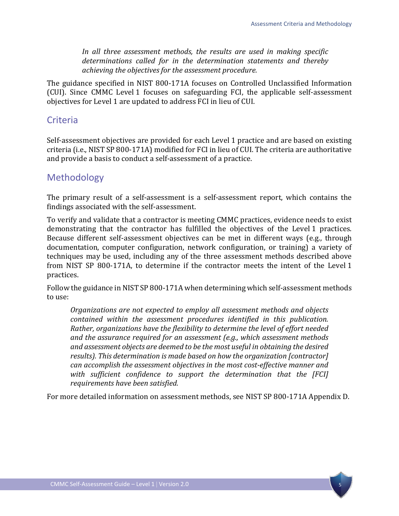*In all three assessment methods, the results are used in making specific determinations called for in the determination statements and thereby achieving the objectives for the assessment procedure.*

The guidance specified in NIST 800-171A focuses on Controlled Unclassified Information (CUI). Since CMMC Level 1 focuses on safeguarding FCI, the applicable self-assessment objectives for Level 1 are updated to address FCI in lieu of CUI.

## <span id="page-8-0"></span>Criteria

Self-assessment objectives are provided for each Level 1 practice and are based on existing criteria (i.e., NIST SP 800-171A) modified for FCI in lieu of CUI. The criteria are authoritative and provide a basis to conduct a self-assessment of a practice.

## <span id="page-8-1"></span>Methodology

The primary result of a self-assessment is a self-assessment report, which contains the findings associated with the self-assessment.

To verify and validate that a contractor is meeting CMMC practices, evidence needs to exist demonstrating that the contractor has fulfilled the objectives of the Level 1 practices. Because different self-assessment objectives can be met in different ways (e.g., through documentation, computer configuration, network configuration, or training) a variety of techniques may be used, including any of the three assessment methods described above from NIST SP 800-171A, to determine if the contractor meets the intent of the Level 1 practices.

Follow the guidance in NIST SP 800-171A when determining which self-assessment methods to use:

*Organizations are not expected to employ all assessment methods and objects contained within the assessment procedures identified in this publication. Rather, organizations have the flexibility to determine the level of effort needed and the assurance required for an assessment (e.g., which assessment methods and assessment objects are deemed to be the most useful in obtaining the desired results). This determination is made based on how the organization [contractor] can accomplish the assessment objectives in the most cost-effective manner and with sufficient confidence to support the determination that the [FCI] requirements have been satisfied.* 

For more detailed information on assessment methods, see NIST SP 800-171A Appendix D.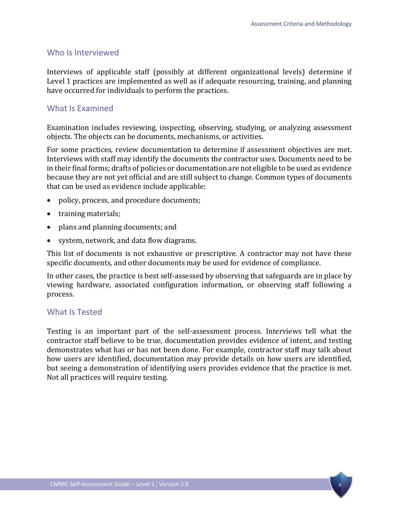#### Who Is Interviewed

Interviews of applicable staff (possibly at different organizational levels) determine if Level 1 practices are implemented as well as if adequate resourcing, training, and planning have occurred for individuals to perform the practices.

#### What Is Examined

Examination includes reviewing, inspecting, observing, studying, or analyzing assessment objects. The objects can be documents, mechanisms, or activities.

For some practices, review documentation to determine if assessment objectives are met. Interviews with staff may identify the documents the contractor uses. Documents need to be in their final forms; drafts of policies or documentation are not eligible to be used as evidence because they are not yet official and are still subject to change. Common types of documents that can be used as evidence include applicable:

- policy, process, and procedure documents;
- training materials;
- plans and planning documents; and
- system, network, and data flow diagrams.

This list of documents is not exhaustive or prescriptive. A contractor may not have these specific documents, and other documents may be used for evidence of compliance.

In other cases, the practice is best self-assessed by observing that safeguards are in place by viewing hardware, associated configuration information, or observing staff following a process.

#### What Is Tested

Testing is an important part of the self-assessment process. Interviews tell what the contractor staff believe to be true, documentation provides evidence of intent, and testing demonstrates what has or has not been done. For example, contractor staff may talk about how users are identified, documentation may provide details on how users are identified, but seeing a demonstration of identifying users provides evidence that the practice is met. Not all practices will require testing.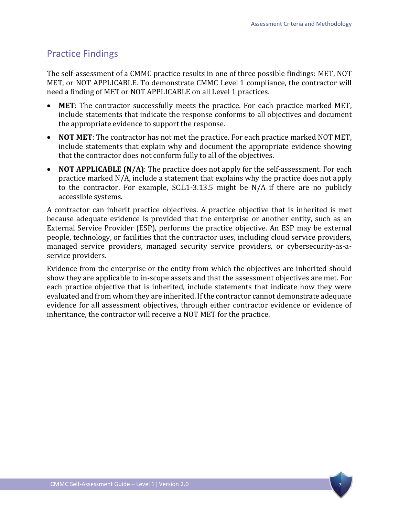## <span id="page-10-0"></span>Practice Findings

The self-assessment of a CMMC practice results in one of three possible findings: MET, NOT MET, or NOT APPLICABLE. To demonstrate CMMC Level 1 compliance, the contractor will need a finding of MET or NOT APPLICABLE on all Level 1 practices.

- **MET**: The contractor successfully meets the practice. For each practice marked MET, include statements that indicate the response conforms to all objectives and document the appropriate evidence to support the response.
- **NOT MET**: The contractor has not met the practice. For each practice marked NOT MET, include statements that explain why and document the appropriate evidence showing that the contractor does not conform fully to all of the objectives.
- **NOT APPLICABLE (N/A)**: The practice does not apply for the self-assessment. For each practice marked N/A, include a statement that explains why the practice does not apply to the contractor. For example, SC.L1-3.13.5 might be N/A if there are no publicly accessible systems.

A contractor can inherit practice objectives. A practice objective that is inherited is met because adequate evidence is provided that the enterprise or another entity, such as an External Service Provider (ESP), performs the practice objective. An ESP may be external people, technology, or facilities that the contractor uses, including cloud service providers, managed service providers, managed security service providers, or cybersecurity-as-aservice providers.

Evidence from the enterprise or the entity from which the objectives are inherited should show they are applicable to in-scope assets and that the assessment objectives are met. For each practice objective that is inherited, include statements that indicate how they were evaluated and from whom they are inherited. If the contractor cannot demonstrate adequate evidence for all assessment objectives, through either contractor evidence or evidence of inheritance, the contractor will receive a NOT MET for the practice.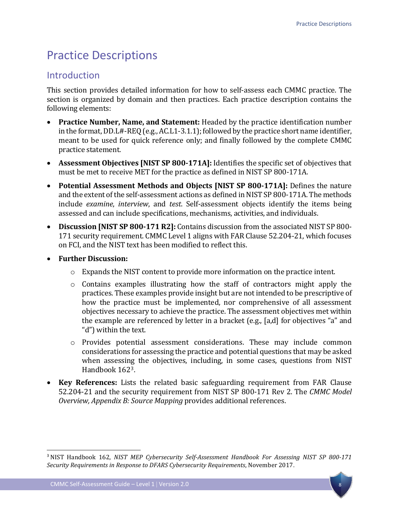# <span id="page-11-0"></span>Practice Descriptions

## <span id="page-11-1"></span>**Introduction**

This section provides detailed information for how to self-assess each CMMC practice. The section is organized by domain and then practices. Each practice description contains the following elements:

- **Practice Number, Name, and Statement:** Headed by the practice identification number in the format, DD.L#-REQ(e.g., AC.L1-3.1.1); followed by the practice short name identifier, meant to be used for quick reference only; and finally followed by the complete CMMC practice statement.
- **Assessment Objectives [NIST SP 800-171A]:** Identifies the specific set of objectives that must be met to receive MET for the practice as defined in NIST SP 800-171A.
- **Potential Assessment Methods and Objects [NIST SP 800-171A]:** Defines the nature and the extent of the self-assessment actions as defined in NIST SP 800-171A. The methods include *examine*, *interview*, and *test*. Self-assessment objects identify the items being assessed and can include specifications, mechanisms, activities, and individuals.
- **Discussion [NIST SP 800-171 R2]:** Contains discussion from the associated NIST SP 800- 171 security requirement. CMMC Level 1 aligns with FAR Clause 52.204-21, which focuses on FCI, and the NIST text has been modified to reflect this.
- **Further Discussion:**
	- $\circ$  Expands the NIST content to provide more information on the practice intent.
	- $\circ$  Contains examples illustrating how the staff of contractors might apply the practices. These examples provide insight but are not intended to be prescriptive of how the practice must be implemented, nor comprehensive of all assessment objectives necessary to achieve the practice. The assessment objectives met within the example are referenced by letter in a bracket (e.g., [a,d] for objectives "a" and "d") within the text.
	- o Provides potential assessment considerations. These may include common considerations for assessing the practice and potential questions that may be asked when assessing the objectives, including, in some cases, questions from NIST Handbook 162[3](#page-11-2).
- **Key References:** Lists the related basic safeguarding requirement from FAR Clause 52.204-21 and the security requirement from NIST SP 800-171 Rev 2. The *CMMC Model Overview, Appendix B: Source Mapping* provides additional references.



<span id="page-11-2"></span><sup>3</sup> NIST Handbook 162, *NIST MEP Cybersecurity Self-Assessment Handbook For Assessing NIST SP 800-171 Security Requirements in Response to DFARS Cybersecurity Requirements*, November 2017.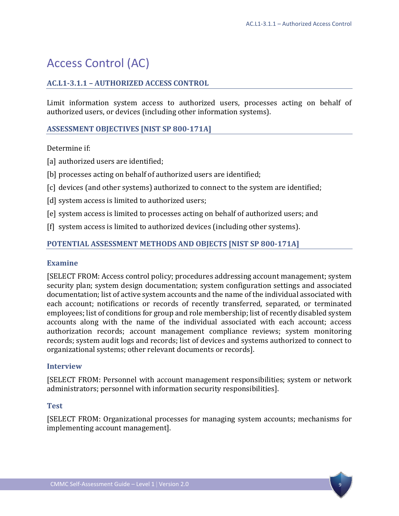# <span id="page-12-0"></span>Access Control (AC)

## <span id="page-12-1"></span>**AC.L1-3.1.1 – AUTHORIZED ACCESS CONTROL**

Limit information system access to authorized users, processes acting on behalf of authorized users, or devices (including other information systems).

## **ASSESSMENT OBJECTIVES [NIST SP 800-171A]**

#### Determine if:

- [a] authorized users are identified;
- [b] processes acting on behalf of authorized users are identified;
- [c] devices (and other systems) authorized to connect to the system are identified;
- [d] system access is limited to authorized users;
- [e] system access is limited to processes acting on behalf of authorized users; and
- [f] system access is limited to authorized devices (including other systems).

## **POTENTIAL ASSESSMENT METHODS AND OBJECTS [NIST SP 800-171A]**

#### **Examine**

[SELECT FROM: Access control policy; procedures addressing account management; system security plan; system design documentation; system configuration settings and associated documentation; list of active system accounts and the name of the individual associated with each account; notifications or records of recently transferred, separated, or terminated employees; list of conditions for group and role membership; list of recently disabled system accounts along with the name of the individual associated with each account; access authorization records; account management compliance reviews; system monitoring records; system audit logs and records; list of devices and systems authorized to connect to organizational systems; other relevant documents or records].

#### **Interview**

[SELECT FROM: Personnel with account management responsibilities; system or network administrators; personnel with information security responsibilities].

#### **Test**

[SELECT FROM: Organizational processes for managing system accounts; mechanisms for implementing account management].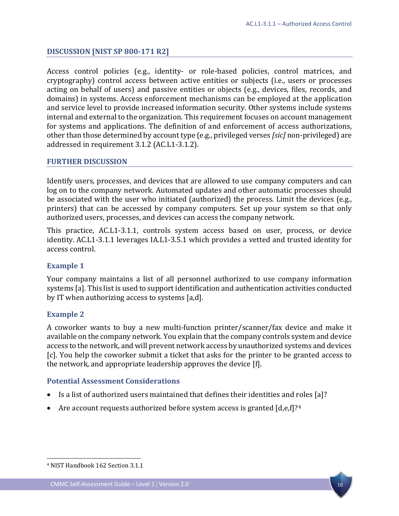## **DISCUSSION [NIST SP 800-171 R2]**

Access control policies (e.g., identity- or role-based policies, control matrices, and cryptography) control access between active entities or subjects (i.e., users or processes acting on behalf of users) and passive entities or objects (e.g., devices, files, records, and domains) in systems. Access enforcement mechanisms can be employed at the application and service level to provide increased information security. Other systems include systems internal and external to the organization. This requirement focuses on account management for systems and applications. The definition of and enforcement of access authorizations, other than those determined by account type (e.g., privileged verses *[sic]* non-privileged) are addressed in requirement 3.1.2 (AC.L1-3.1.2).

#### **FURTHER DISCUSSION**

Identify users, processes, and devices that are allowed to use company computers and can log on to the company network. Automated updates and other automatic processes should be associated with the user who initiated (authorized) the process. Limit the devices (e.g., printers) that can be accessed by company computers. Set up your system so that only authorized users, processes, and devices can access the company network.

This practice, AC.L1-3.1.1, controls system access based on user, process, or device identity. AC.L1-3.1.1 leverages IA.L1-3.5.1 which provides a vetted and trusted identity for access control.

#### **Example 1**

Your company maintains a list of all personnel authorized to use company information systems [a]. This list is used to support identification and authentication activities conducted by IT when authorizing access to systems [a,d].

#### **Example 2**

 $\overline{a}$ 

A coworker wants to buy a new multi-function printer/scanner/fax device and make it available on the company network. You explain that the company controls system and device access to the network, and will prevent network access by unauthorized systems and devices [c]. You help the coworker submit a ticket that asks for the printer to be granted access to the network, and appropriate leadership approves the device [f].

#### **Potential Assessment Considerations**

- Is a list of authorized users maintained that defines their identities and roles [a]?
- Are account requests authorized before system access is granted  $[d,e,f]$ ?<sup>[4](#page-13-0)</sup>



<span id="page-13-0"></span><sup>4</sup> NIST Handbook 162 Section 3.1.1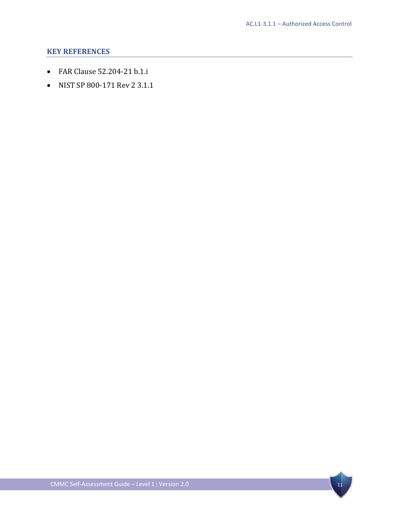- FAR Clause 52.204-21 b.1.i
- NIST SP 800-171 Rev 2 3.1.1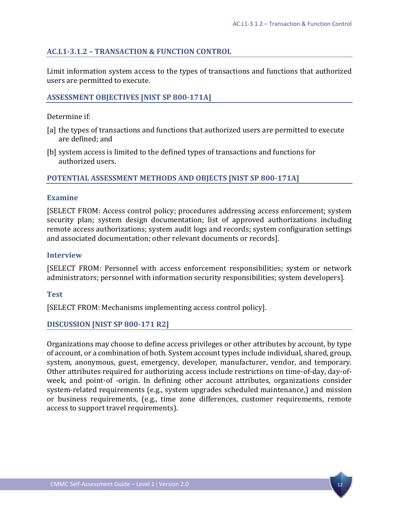## <span id="page-15-0"></span>**AC.L1-3.1.2 – TRANSACTION & FUNCTION CONTROL**

Limit information system access to the types of transactions and functions that authorized users are permitted to execute.

## **ASSESSMENT OBJECTIVES [NIST SP 800-171A]**

Determine if:

- [a] the types of transactions and functions that authorized users are permitted to execute are defined; and
- [b] system access is limited to the defined types of transactions and functions for authorized users.

## **POTENTIAL ASSESSMENT METHODS AND OBJECTS [NIST SP 800-171A]**

#### **Examine**

[SELECT FROM: Access control policy; procedures addressing access enforcement; system security plan; system design documentation; list of approved authorizations including remote access authorizations; system audit logs and records; system configuration settings and associated documentation; other relevant documents or records].

#### **Interview**

[SELECT FROM: Personnel with access enforcement responsibilities; system or network administrators; personnel with information security responsibilities; system developers].

#### **Test**

[SELECT FROM: Mechanisms implementing access control policy].

#### **DISCUSSION [NIST SP 800-171 R2]**

Organizations may choose to define access privileges or other attributes by account, by type of account, or a combination of both. System account types include individual, shared, group, system, anonymous, guest, emergency, developer, manufacturer, vendor, and temporary. Other attributes required for authorizing access include restrictions on time-of-day, day-ofweek, and point-of -origin. In defining other account attributes, organizations consider system-related requirements (e.g., system upgrades scheduled maintenance,) and mission or business requirements, (e.g., time zone differences, customer requirements, remote access to support travel requirements).

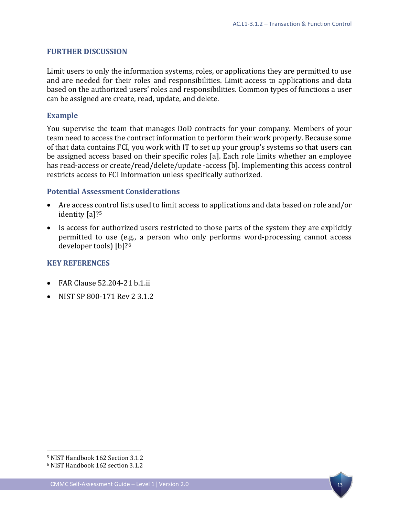## **FURTHER DISCUSSION**

Limit users to only the information systems, roles, or applications they are permitted to use and are needed for their roles and responsibilities. Limit access to applications and data based on the authorized users' roles and responsibilities. Common types of functions a user can be assigned are create, read, update, and delete.

#### **Example**

You supervise the team that manages DoD contracts for your company. Members of your team need to access the contract information to perform their work properly. Because some of that data contains FCI, you work with IT to set up your group's systems so that users can be assigned access based on their specific roles [a]. Each role limits whether an employee has read-access or create/read/delete/update -access [b]. Implementing this access control restricts access to FCI information unless specifically authorized.

## **Potential Assessment Considerations**

- Are access control lists used to limit access to applications and data based on role and/or identity [a]?<sup>[5](#page-16-0)</sup>
- Is access for authorized users restricted to those parts of the system they are explicitly permitted to use (e.g., a person who only performs word-processing cannot access developer tools) [b]?[6](#page-16-1)

## **KEY REFERENCES**

- FAR Clause 52.204-21 b.1.ii
- NIST SP 800-171 Rev 2 3.1.2

 $\overline{a}$ 



<span id="page-16-0"></span><sup>5</sup> NIST Handbook 162 Section 3.1.2

<span id="page-16-1"></span><sup>6</sup> NIST Handbook 162 section 3.1.2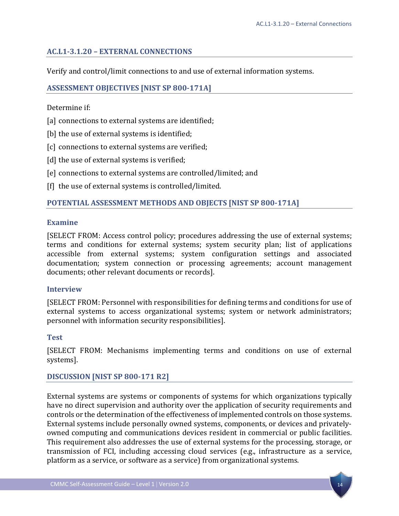## <span id="page-17-0"></span>**AC.L1-3.1.20 – EXTERNAL CONNECTIONS**

Verify and control/limit connections to and use of external information systems.

## **ASSESSMENT OBJECTIVES [NIST SP 800-171A]**

Determine if:

- [a] connections to external systems are identified;
- [b] the use of external systems is identified;
- [c] connections to external systems are verified;
- [d] the use of external systems is verified;
- [e] connections to external systems are controlled/limited; and
- [f] the use of external systems is controlled/limited.

## **POTENTIAL ASSESSMENT METHODS AND OBJECTS [NIST SP 800-171A]**

#### **Examine**

[SELECT FROM: Access control policy; procedures addressing the use of external systems; terms and conditions for external systems; system security plan; list of applications accessible from external systems; system configuration settings and associated documentation; system connection or processing agreements; account management documents; other relevant documents or records].

#### **Interview**

[SELECT FROM: Personnel with responsibilities for defining terms and conditions for use of external systems to access organizational systems; system or network administrators; personnel with information security responsibilities].

#### **Test**

[SELECT FROM: Mechanisms implementing terms and conditions on use of external systems].

#### **DISCUSSION [NIST SP 800-171 R2]**

External systems are systems or components of systems for which organizations typically have no direct supervision and authority over the application of security requirements and controls or the determination of the effectiveness of implemented controls on those systems. External systems include personally owned systems, components, or devices and privatelyowned computing and communications devices resident in commercial or public facilities. This requirement also addresses the use of external systems for the processing, storage, or transmission of FCI, including accessing cloud services (e.g., infrastructure as a service, platform as a service, or software as a service) from organizational systems.

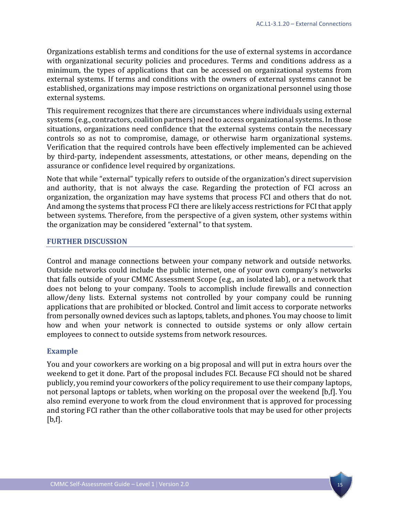Organizations establish terms and conditions for the use of external systems in accordance with organizational security policies and procedures. Terms and conditions address as a minimum, the types of applications that can be accessed on organizational systems from external systems. If terms and conditions with the owners of external systems cannot be established, organizations may impose restrictions on organizational personnel using those external systems.

This requirement recognizes that there are circumstances where individuals using external systems (e.g., contractors, coalition partners) need to access organizational systems. In those situations, organizations need confidence that the external systems contain the necessary controls so as not to compromise, damage, or otherwise harm organizational systems. Verification that the required controls have been effectively implemented can be achieved by third-party, independent assessments, attestations, or other means, depending on the assurance or confidence level required by organizations.

Note that while "external" typically refers to outside of the organization's direct supervision and authority, that is not always the case. Regarding the protection of FCI across an organization, the organization may have systems that process FCI and others that do not. And among the systems that process FCI there are likely access restrictions for FCI that apply between systems. Therefore, from the perspective of a given system, other systems within the organization may be considered "external" to that system.

#### **FURTHER DISCUSSION**

Control and manage connections between your company network and outside networks. Outside networks could include the public internet, one of your own company's networks that falls outside of your CMMC Assessment Scope (e.g., an isolated lab), or a network that does not belong to your company. Tools to accomplish include firewalls and connection allow/deny lists. External systems not controlled by your company could be running applications that are prohibited or blocked. Control and limit access to corporate networks from personally owned devices such as laptops, tablets, and phones. You may choose to limit how and when your network is connected to outside systems or only allow certain employees to connect to outside systems from network resources.

#### **Example**

You and your coworkers are working on a big proposal and will put in extra hours over the weekend to get it done. Part of the proposal includes FCI. Because FCI should not be shared publicly, you remind your coworkers of the policy requirement to use their company laptops, not personal laptops or tablets, when working on the proposal over the weekend [b,f]. You also remind everyone to work from the cloud environment that is approved for processing and storing FCI rather than the other collaborative tools that may be used for other projects  $[b,f].$ 

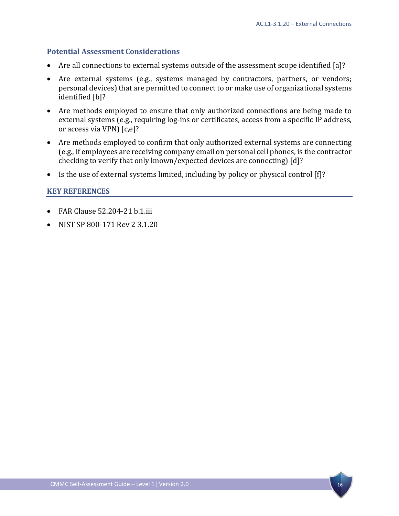## **Potential Assessment Considerations**

- Are all connections to external systems outside of the assessment scope identified [a]?
- Are external systems (e.g., systems managed by contractors, partners, or vendors; personal devices) that are permitted to connect to or make use of organizational systems identified [b]?
- Are methods employed to ensure that only authorized connections are being made to external systems (e.g., requiring log-ins or certificates, access from a specific IP address, or access via VPN) [c,e]?
- Are methods employed to confirm that only authorized external systems are connecting (e.g., if employees are receiving company email on personal cell phones, is the contractor checking to verify that only known/expected devices are connecting) [d]?
- Is the use of external systems limited, including by policy or physical control [f]?

- FAR Clause 52.204-21 b.1.iii
- NIST SP 800-171 Rev 2 3.1.20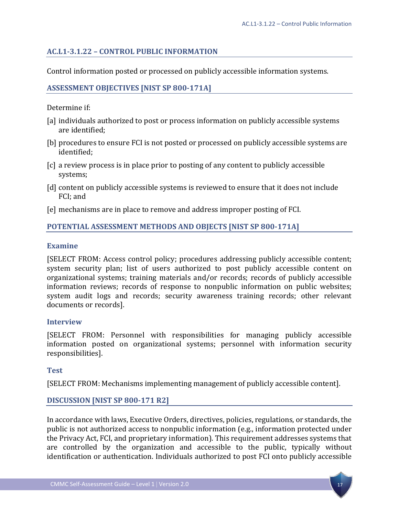## <span id="page-20-0"></span>**AC.L1-3.1.22 – CONTROL PUBLIC INFORMATION**

Control information posted or processed on publicly accessible information systems.

## **ASSESSMENT OBJECTIVES [NIST SP 800-171A]**

Determine if:

- [a] individuals authorized to post or process information on publicly accessible systems are identified;
- [b] procedures to ensure FCI is not posted or processed on publicly accessible systems are identified;
- [c] a review process is in place prior to posting of any content to publicly accessible systems;
- [d] content on publicly accessible systems is reviewed to ensure that it does not include FCI; and
- [e] mechanisms are in place to remove and address improper posting of FCI.

#### **POTENTIAL ASSESSMENT METHODS AND OBJECTS [NIST SP 800-171A]**

#### **Examine**

[SELECT FROM: Access control policy; procedures addressing publicly accessible content; system security plan; list of users authorized to post publicly accessible content on organizational systems; training materials and/or records; records of publicly accessible information reviews; records of response to nonpublic information on public websites; system audit logs and records; security awareness training records; other relevant documents or records].

#### **Interview**

[SELECT FROM: Personnel with responsibilities for managing publicly accessible information posted on organizational systems; personnel with information security responsibilities].

#### **Test**

[SELECT FROM: Mechanisms implementing management of publicly accessible content].

## **DISCUSSION [NIST SP 800-171 R2]**

In accordance with laws, Executive Orders, directives, policies, regulations, or standards, the public is not authorized access to nonpublic information (e.g., information protected under the Privacy Act, FCI, and proprietary information). This requirement addresses systems that are controlled by the organization and accessible to the public, typically without identification or authentication. Individuals authorized to post FCI onto publicly accessible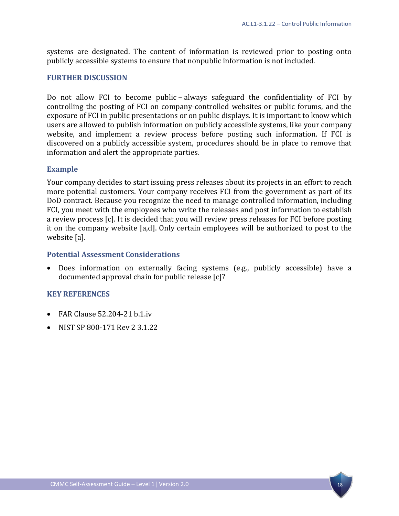systems are designated. The content of information is reviewed prior to posting onto publicly accessible systems to ensure that nonpublic information is not included.

#### **FURTHER DISCUSSION**

Do not allow FCI to become public – always safeguard the confidentiality of FCI by controlling the posting of FCI on company-controlled websites or public forums, and the exposure of FCI in public presentations or on public displays. It is important to know which users are allowed to publish information on publicly accessible systems, like your company website, and implement a review process before posting such information. If FCI is discovered on a publicly accessible system, procedures should be in place to remove that information and alert the appropriate parties.

#### **Example**

Your company decides to start issuing press releases about its projects in an effort to reach more potential customers. Your company receives FCI from the government as part of its DoD contract. Because you recognize the need to manage controlled information, including FCI, you meet with the employees who write the releases and post information to establish a review process [c]. It is decided that you will review press releases for FCI before posting it on the company website [a,d]. Only certain employees will be authorized to post to the website [a].

#### **Potential Assessment Considerations**

• Does information on externally facing systems (e.g., publicly accessible) have a documented approval chain for public release [c]?

- FAR Clause 52.204-21 b.1.iv
- NIST SP 800-171 Rev 2 3.1.22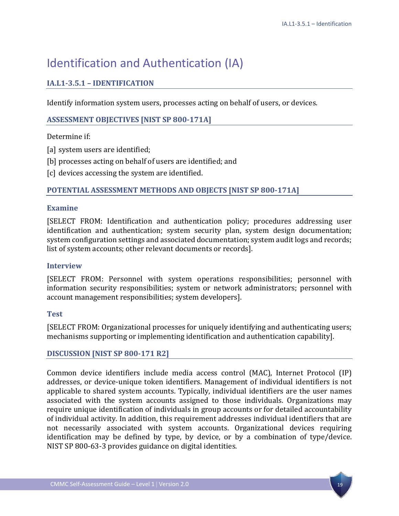# <span id="page-22-0"></span>Identification and Authentication (IA)

## <span id="page-22-1"></span>**IA.L1-3.5.1 – IDENTIFICATION**

Identify information system users, processes acting on behalf of users, or devices.

## **ASSESSMENT OBJECTIVES [NIST SP 800-171A]**

## Determine if:

- [a] system users are identified;
- [b] processes acting on behalf of users are identified; and
- [c] devices accessing the system are identified.

## **POTENTIAL ASSESSMENT METHODS AND OBJECTS [NIST SP 800-171A]**

## **Examine**

[SELECT FROM: Identification and authentication policy; procedures addressing user identification and authentication; system security plan, system design documentation; system configuration settings and associated documentation; system audit logs and records; list of system accounts; other relevant documents or records].

#### **Interview**

[SELECT FROM: Personnel with system operations responsibilities; personnel with information security responsibilities; system or network administrators; personnel with account management responsibilities; system developers].

## **Test**

[SELECT FROM: Organizational processes for uniquely identifying and authenticating users; mechanisms supporting or implementing identification and authentication capability].

## **DISCUSSION [NIST SP 800-171 R2]**

Common device identifiers include media access control (MAC), Internet Protocol (IP) addresses, or device-unique token identifiers. Management of individual identifiers is not applicable to shared system accounts. Typically, individual identifiers are the user names associated with the system accounts assigned to those individuals. Organizations may require unique identification of individuals in group accounts or for detailed accountability of individual activity. In addition, this requirement addresses individual identifiers that are not necessarily associated with system accounts. Organizational devices requiring identification may be defined by type, by device, or by a combination of type/device. NIST SP 800-63-3 provides guidance on digital identities.

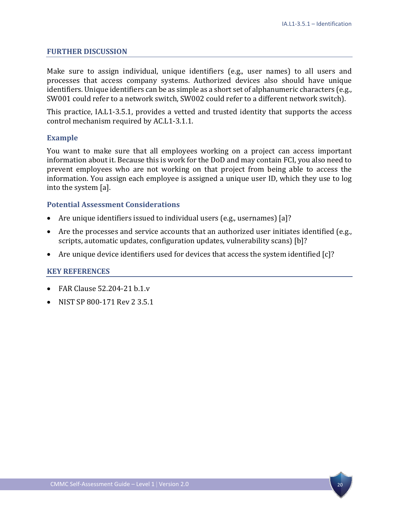#### **FURTHER DISCUSSION**

Make sure to assign individual, unique identifiers (e.g., user names) to all users and processes that access company systems. Authorized devices also should have unique identifiers. Unique identifiers can be as simple as a short set of alphanumeric characters (e.g., SW001 could refer to a network switch, SW002 could refer to a different network switch).

This practice, IA.L1-3.5.1, provides a vetted and trusted identity that supports the access control mechanism required by AC.L1-3.1.1.

#### **Example**

You want to make sure that all employees working on a project can access important information about it. Because this is work for the DoD and may contain FCI, you also need to prevent employees who are not working on that project from being able to access the information. You assign each employee is assigned a unique user ID, which they use to log into the system [a].

## **Potential Assessment Considerations**

- Are unique identifiers issued to individual users (e.g., usernames) [a]?
- Are the processes and service accounts that an authorized user initiates identified (e.g., scripts, automatic updates, configuration updates, vulnerability scans) [b]?
- Are unique device identifiers used for devices that access the system identified [c]?

- FAR Clause 52.204-21 b.1.v
- NIST SP 800-171 Rev 2 3.5.1

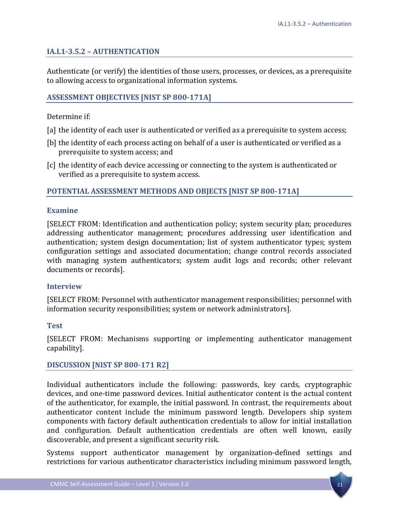## <span id="page-24-0"></span>**IA.L1-3.5.2 – AUTHENTICATION**

Authenticate (or verify) the identities of those users, processes, or devices, as a prerequisite to allowing access to organizational information systems.

#### **ASSESSMENT OBJECTIVES [NIST SP 800-171A]**

Determine if:

- [a] the identity of each user is authenticated or verified as a prerequisite to system access;
- [b] the identity of each process acting on behalf of a user is authenticated or verified as a prerequisite to system access; and
- [c] the identity of each device accessing or connecting to the system is authenticated or verified as a prerequisite to system access.

## **POTENTIAL ASSESSMENT METHODS AND OBJECTS [NIST SP 800-171A]**

#### **Examine**

[SELECT FROM: Identification and authentication policy; system security plan; procedures addressing authenticator management; procedures addressing user identification and authentication; system design documentation; list of system authenticator types; system configuration settings and associated documentation; change control records associated with managing system authenticators; system audit logs and records; other relevant documents or records].

#### **Interview**

[SELECT FROM: Personnel with authenticator management responsibilities; personnel with information security responsibilities; system or network administrators].

#### **Test**

[SELECT FROM: Mechanisms supporting or implementing authenticator management capability].

#### **DISCUSSION [NIST SP 800-171 R2]**

Individual authenticators include the following: passwords, key cards, cryptographic devices, and one-time password devices. Initial authenticator content is the actual content of the authenticator, for example, the initial password. In contrast, the requirements about authenticator content include the minimum password length. Developers ship system components with factory default authentication credentials to allow for initial installation and configuration. Default authentication credentials are often well known, easily discoverable, and present a significant security risk.

Systems support authenticator management by organization-defined settings and restrictions for various authenticator characteristics including minimum password length,

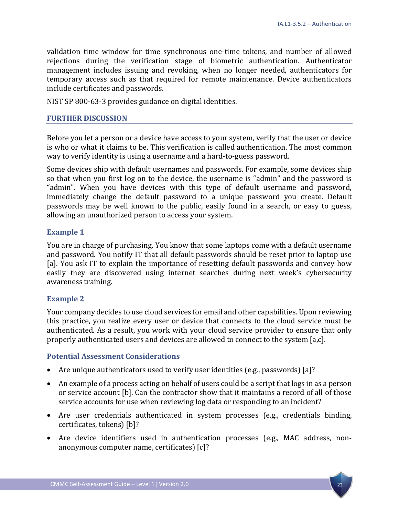validation time window for time synchronous one-time tokens, and number of allowed rejections during the verification stage of biometric authentication. Authenticator management includes issuing and revoking, when no longer needed, authenticators for temporary access such as that required for remote maintenance. Device authenticators include certificates and passwords.

NIST SP 800-63-3 provides guidance on digital identities.

## **FURTHER DISCUSSION**

Before you let a person or a device have access to your system, verify that the user or device is who or what it claims to be. This verification is called authentication. The most common way to verify identity is using a username and a hard-to-guess password.

Some devices ship with default usernames and passwords. For example, some devices ship so that when you first log on to the device, the username is "admin" and the password is "admin". When you have devices with this type of default username and password, immediately change the default password to a unique password you create. Default passwords may be well known to the public, easily found in a search, or easy to guess, allowing an unauthorized person to access your system.

## **Example 1**

You are in charge of purchasing. You know that some laptops come with a default username and password. You notify IT that all default passwords should be reset prior to laptop use [a]. You ask IT to explain the importance of resetting default passwords and convey how easily they are discovered using internet searches during next week's cybersecurity awareness training.

## **Example 2**

Your company decides to use cloud services for email and other capabilities. Upon reviewing this practice, you realize every user or device that connects to the cloud service must be authenticated. As a result, you work with your cloud service provider to ensure that only properly authenticated users and devices are allowed to connect to the system [a,c].

## **Potential Assessment Considerations**

- Are unique authenticators used to verify user identities (e.g., passwords) [a]?
- An example of a process acting on behalf of users could be a script that logs in as a person or service account [b]. Can the contractor show that it maintains a record of all of those service accounts for use when reviewing log data or responding to an incident?
- Are user credentials authenticated in system processes (e.g., credentials binding, certificates, tokens) [b]?
- Are device identifiers used in authentication processes (e.g., MAC address, nonanonymous computer name, certificates) [c]?

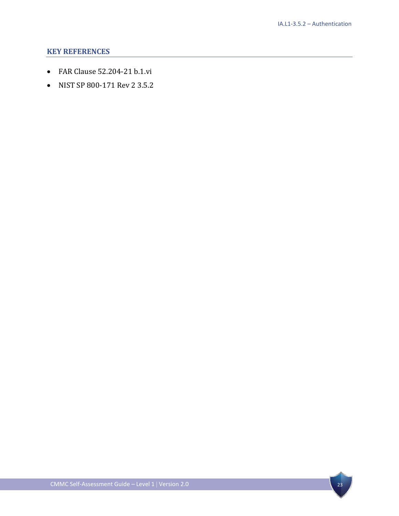- FAR Clause 52.204-21 b.1.vi
- NIST SP 800-171 Rev 2 3.5.2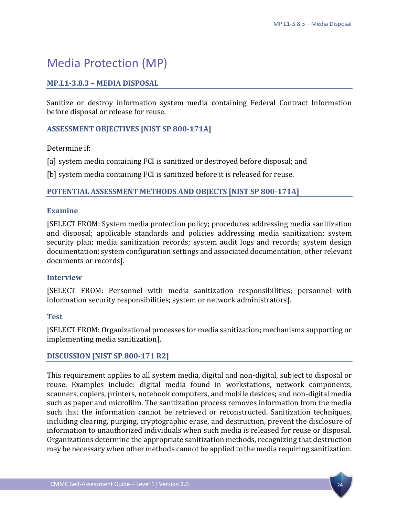# <span id="page-27-0"></span>Media Protection (MP)

## <span id="page-27-1"></span>**MP.L1-3.8.3 – MEDIA DISPOSAL**

Sanitize or destroy information system media containing Federal Contract Information before disposal or release for reuse.

## **ASSESSMENT OBJECTIVES [NIST SP 800-171A]**

Determine if:

[a] system media containing FCI is sanitized or destroyed before disposal; and

[b] system media containing FCI is sanitized before it is released for reuse.

## **POTENTIAL ASSESSMENT METHODS AND OBJECTS [NIST SP 800-171A]**

#### **Examine**

[SELECT FROM: System media protection policy; procedures addressing media sanitization and disposal; applicable standards and policies addressing media sanitization; system security plan; media sanitization records; system audit logs and records; system design documentation; system configuration settings and associated documentation; other relevant documents or records].

#### **Interview**

[SELECT FROM: Personnel with media sanitization responsibilities; personnel with information security responsibilities; system or network administrators].

#### **Test**

[SELECT FROM: Organizational processes for media sanitization; mechanisms supporting or implementing media sanitization].

#### **DISCUSSION [NIST SP 800-171 R2]**

This requirement applies to all system media, digital and non-digital, subject to disposal or reuse. Examples include: digital media found in workstations, network components, scanners, copiers, printers, notebook computers, and mobile devices; and non-digital media such as paper and microfilm. The sanitization process removes information from the media such that the information cannot be retrieved or reconstructed. Sanitization techniques, including clearing, purging, cryptographic erase, and destruction, prevent the disclosure of information to unauthorized individuals when such media is released for reuse or disposal. Organizations determine the appropriate sanitization methods, recognizing that destruction may be necessary when other methods cannot be applied to the media requiring sanitization.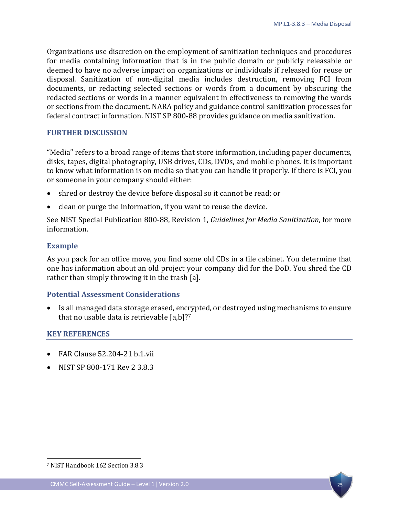Organizations use discretion on the employment of sanitization techniques and procedures for media containing information that is in the public domain or publicly releasable or deemed to have no adverse impact on organizations or individuals if released for reuse or disposal. Sanitization of non-digital media includes destruction, removing FCI from documents, or redacting selected sections or words from a document by obscuring the redacted sections or words in a manner equivalent in effectiveness to removing the words or sections from the document. NARA policy and guidance control sanitization processes for federal contract information. NIST SP 800-88 provides guidance on media sanitization.

## **FURTHER DISCUSSION**

"Media" refers to a broad range of items that store information, including paper documents, disks, tapes, digital photography, USB drives, CDs, DVDs, and mobile phones. It is important to know what information is on media so that you can handle it properly. If there is FCI, you or someone in your company should either:

- shred or destroy the device before disposal so it cannot be read; or
- clean or purge the information, if you want to reuse the device.

See NIST Special Publication 800-88, Revision 1, *Guidelines for Media Sanitization*, for more information.

## **Example**

As you pack for an office move, you find some old CDs in a file cabinet. You determine that one has information about an old project your company did for the DoD. You shred the CD rather than simply throwing it in the trash [a].

## **Potential Assessment Considerations**

• Is all managed data storage erased, encrypted, or destroyed using mechanisms to ensure that no usable data is retrievable [a,b]?[7](#page-28-0)

#### **KEY REFERENCES**

- FAR Clause 52.204-21 b.1.vii
- NIST SP 800-171 Rev 2 3.8.3

 $\overline{a}$ 

<span id="page-28-0"></span><sup>7</sup> NIST Handbook 162 Section 3.8.3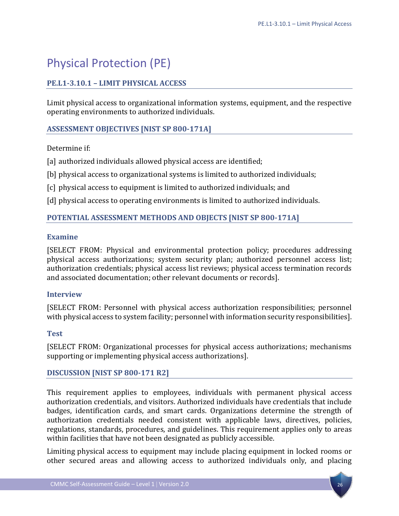# <span id="page-29-0"></span>Physical Protection (PE)

## <span id="page-29-1"></span>**PE.L1-3.10.1 – LIMIT PHYSICAL ACCESS**

Limit physical access to organizational information systems, equipment, and the respective operating environments to authorized individuals.

## **ASSESSMENT OBJECTIVES [NIST SP 800-171A]**

## Determine if:

[a] authorized individuals allowed physical access are identified;

[b] physical access to organizational systems is limited to authorized individuals;

[c] physical access to equipment is limited to authorized individuals; and

[d] physical access to operating environments is limited to authorized individuals.

## **POTENTIAL ASSESSMENT METHODS AND OBJECTS [NIST SP 800-171A]**

## **Examine**

[SELECT FROM: Physical and environmental protection policy; procedures addressing physical access authorizations; system security plan; authorized personnel access list; authorization credentials; physical access list reviews; physical access termination records and associated documentation; other relevant documents or records].

## **Interview**

[SELECT FROM: Personnel with physical access authorization responsibilities; personnel with physical access to system facility; personnel with information security responsibilities].

## **Test**

[SELECT FROM: Organizational processes for physical access authorizations; mechanisms supporting or implementing physical access authorizations].

## **DISCUSSION [NIST SP 800-171 R2]**

This requirement applies to employees, individuals with permanent physical access authorization credentials, and visitors. Authorized individuals have credentials that include badges, identification cards, and smart cards. Organizations determine the strength of authorization credentials needed consistent with applicable laws, directives, policies, regulations, standards, procedures, and guidelines. This requirement applies only to areas within facilities that have not been designated as publicly accessible.

Limiting physical access to equipment may include placing equipment in locked rooms or other secured areas and allowing access to authorized individuals only, and placing

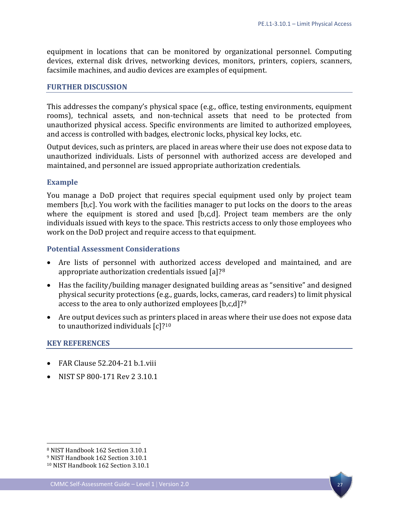equipment in locations that can be monitored by organizational personnel. Computing devices, external disk drives, networking devices, monitors, printers, copiers, scanners, facsimile machines, and audio devices are examples of equipment.

#### **FURTHER DISCUSSION**

This addresses the company's physical space (e.g., office, testing environments, equipment rooms), technical assets, and non-technical assets that need to be protected from unauthorized physical access. Specific environments are limited to authorized employees, and access is controlled with badges, electronic locks, physical key locks, etc.

Output devices, such as printers, are placed in areas where their use does not expose data to unauthorized individuals. Lists of personnel with authorized access are developed and maintained, and personnel are issued appropriate authorization credentials.

#### **Example**

You manage a DoD project that requires special equipment used only by project team members [b,c]. You work with the facilities manager to put locks on the doors to the areas where the equipment is stored and used [b,c,d]. Project team members are the only individuals issued with keys to the space. This restricts access to only those employees who work on the DoD project and require access to that equipment.

#### **Potential Assessment Considerations**

- Are lists of personnel with authorized access developed and maintained, and are appropriate authorization credentials issued [a]?[8](#page-30-0)
- Has the facility/building manager designated building areas as "sensitive" and designed physical security protections (e.g., guards, locks, cameras, card readers) to limit physical access to the area to only authorized employees [b,c,d]?[9](#page-30-1)
- Are output devices such as printers placed in areas where their use does not expose data to unauthorized individuals [c]?[10](#page-30-2)

#### **KEY REFERENCES**

- FAR Clause 52.204-21 b.1.viii
- NIST SP 800-171 Rev 2 3.10.1

 $\overline{a}$ 



<span id="page-30-0"></span><sup>8</sup> NIST Handbook 162 Section 3.10.1

<span id="page-30-1"></span><sup>9</sup> NIST Handbook 162 Section 3.10.1

<span id="page-30-2"></span><sup>10</sup> NIST Handbook 162 Section 3.10.1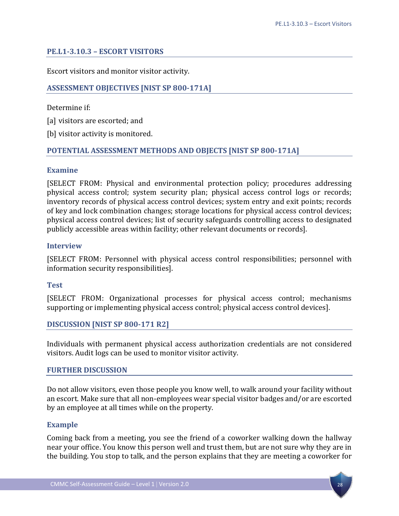## <span id="page-31-0"></span>**PE.L1-3.10.3 – ESCORT VISITORS**

Escort visitors and monitor visitor activity.

## **ASSESSMENT OBJECTIVES [NIST SP 800-171A]**

Determine if:

[a] visitors are escorted; and

[b] visitor activity is monitored.

## **POTENTIAL ASSESSMENT METHODS AND OBJECTS [NIST SP 800-171A]**

#### **Examine**

[SELECT FROM: Physical and environmental protection policy; procedures addressing physical access control; system security plan; physical access control logs or records; inventory records of physical access control devices; system entry and exit points; records of key and lock combination changes; storage locations for physical access control devices; physical access control devices; list of security safeguards controlling access to designated publicly accessible areas within facility; other relevant documents or records].

#### **Interview**

[SELECT FROM: Personnel with physical access control responsibilities; personnel with information security responsibilities].

#### **Test**

[SELECT FROM: Organizational processes for physical access control; mechanisms supporting or implementing physical access control; physical access control devices].

#### **DISCUSSION [NIST SP 800-171 R2]**

Individuals with permanent physical access authorization credentials are not considered visitors. Audit logs can be used to monitor visitor activity.

#### **FURTHER DISCUSSION**

Do not allow visitors, even those people you know well, to walk around your facility without an escort. Make sure that all non-employees wear special visitor badges and/or are escorted by an employee at all times while on the property.

#### **Example**

Coming back from a meeting, you see the friend of a coworker walking down the hallway near your office. You know this person well and trust them, but are not sure why they are in the building. You stop to talk, and the person explains that they are meeting a coworker for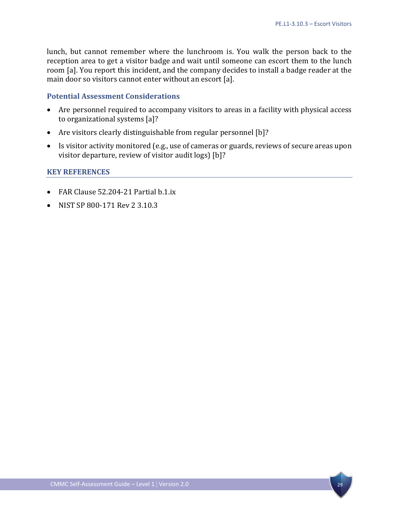lunch, but cannot remember where the lunchroom is. You walk the person back to the reception area to get a visitor badge and wait until someone can escort them to the lunch room [a]. You report this incident, and the company decides to install a badge reader at the main door so visitors cannot enter without an escort [a].

#### **Potential Assessment Considerations**

- Are personnel required to accompany visitors to areas in a facility with physical access to organizational systems [a]?
- Are visitors clearly distinguishable from regular personnel [b]?
- Is visitor activity monitored (e.g., use of cameras or guards, reviews of secure areas upon visitor departure, review of visitor audit logs) [b]?

- FAR Clause 52.204-21 Partial b.1.ix
- NIST SP 800-171 Rev 2 3.10.3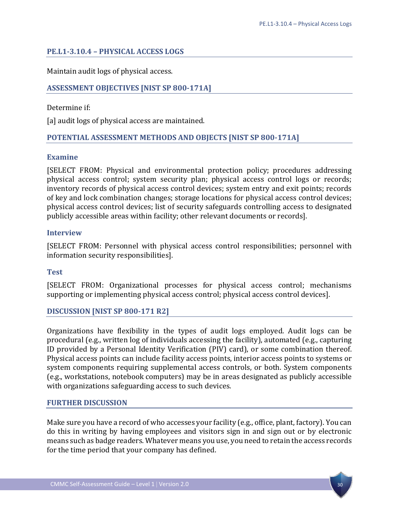## <span id="page-33-0"></span>**PE.L1-3.10.4 – PHYSICAL ACCESS LOGS**

Maintain audit logs of physical access.

## **ASSESSMENT OBJECTIVES [NIST SP 800-171A]**

Determine if:

[a] audit logs of physical access are maintained.

## **POTENTIAL ASSESSMENT METHODS AND OBJECTS [NIST SP 800-171A]**

#### **Examine**

[SELECT FROM: Physical and environmental protection policy; procedures addressing physical access control; system security plan; physical access control logs or records; inventory records of physical access control devices; system entry and exit points; records of key and lock combination changes; storage locations for physical access control devices; physical access control devices; list of security safeguards controlling access to designated publicly accessible areas within facility; other relevant documents or records].

## **Interview**

[SELECT FROM: Personnel with physical access control responsibilities; personnel with information security responsibilities].

#### **Test**

[SELECT FROM: Organizational processes for physical access control; mechanisms supporting or implementing physical access control; physical access control devices].

#### **DISCUSSION [NIST SP 800-171 R2]**

Organizations have flexibility in the types of audit logs employed. Audit logs can be procedural (e.g., written log of individuals accessing the facility), automated (e.g., capturing ID provided by a Personal Identity Verification (PIV) card), or some combination thereof. Physical access points can include facility access points, interior access points to systems or system components requiring supplemental access controls, or both. System components (e.g., workstations, notebook computers) may be in areas designated as publicly accessible with organizations safeguarding access to such devices.

#### **FURTHER DISCUSSION**

Make sure you have a record of who accesses your facility (e.g., office, plant, factory). You can do this in writing by having employees and visitors sign in and sign out or by electronic means such as badge readers. Whatever means you use, you need to retain the access records for the time period that your company has defined.

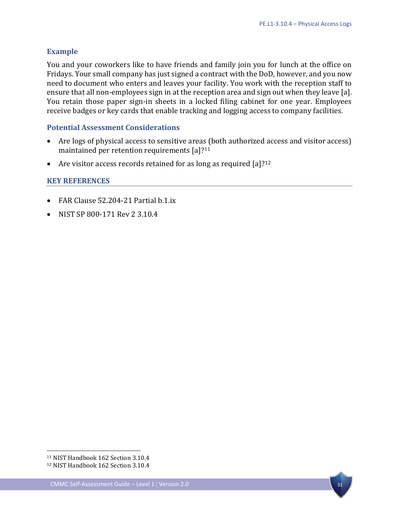## **Example**

You and your coworkers like to have friends and family join you for lunch at the office on Fridays. Your small company has just signed a contract with the DoD, however, and you now need to document who enters and leaves your facility. You work with the reception staff to ensure that all non-employees sign in at the reception area and sign out when they leave [a]. You retain those paper sign-in sheets in a locked filing cabinet for one year. Employees receive badges or key cards that enable tracking and logging access to company facilities.

## **Potential Assessment Considerations**

- Are logs of physical access to sensitive areas (both authorized access and visitor access) maintained per retention requirements [a]?<sup>[11](#page-34-0)</sup>
- Are visitor access records retained for as long as required  $[a]$ ?<sup>12</sup>

## **KEY REFERENCES**

- FAR Clause 52.204-21 Partial b.1.ix
- NIST SP 800-171 Rev 2 3.10.4

 $\overline{a}$ 



<span id="page-34-0"></span><sup>11</sup> NIST Handbook 162 Section 3.10.4

<span id="page-34-1"></span><sup>12</sup> NIST Handbook 162 Section 3.10.4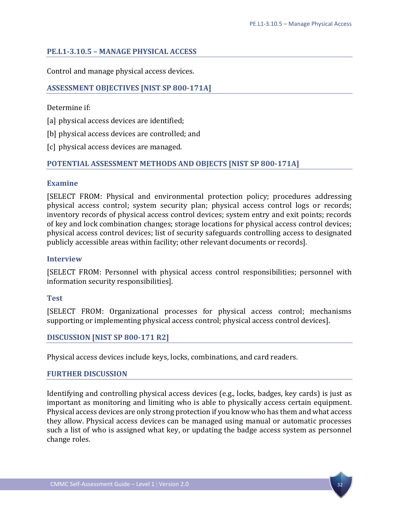## <span id="page-35-0"></span>**PE.L1-3.10.5 – MANAGE PHYSICAL ACCESS**

Control and manage physical access devices.

## **ASSESSMENT OBJECTIVES [NIST SP 800-171A]**

Determine if:

[a] physical access devices are identified;

[b] physical access devices are controlled; and

[c] physical access devices are managed.

## **POTENTIAL ASSESSMENT METHODS AND OBJECTS [NIST SP 800-171A]**

#### **Examine**

[SELECT FROM: Physical and environmental protection policy; procedures addressing physical access control; system security plan; physical access control logs or records; inventory records of physical access control devices; system entry and exit points; records of key and lock combination changes; storage locations for physical access control devices; physical access control devices; list of security safeguards controlling access to designated publicly accessible areas within facility; other relevant documents or records].

#### **Interview**

[SELECT FROM: Personnel with physical access control responsibilities; personnel with information security responsibilities].

#### **Test**

[SELECT FROM: Organizational processes for physical access control; mechanisms supporting or implementing physical access control; physical access control devices].

#### **DISCUSSION [NIST SP 800-171 R2]**

Physical access devices include keys, locks, combinations, and card readers.

#### **FURTHER DISCUSSION**

Identifying and controlling physical access devices (e.g., locks, badges, key cards) is just as important as monitoring and limiting who is able to physically access certain equipment. Physical access devices are only strong protection if you know who has them and what access they allow. Physical access devices can be managed using manual or automatic processes such a list of who is assigned what key, or updating the badge access system as personnel change roles.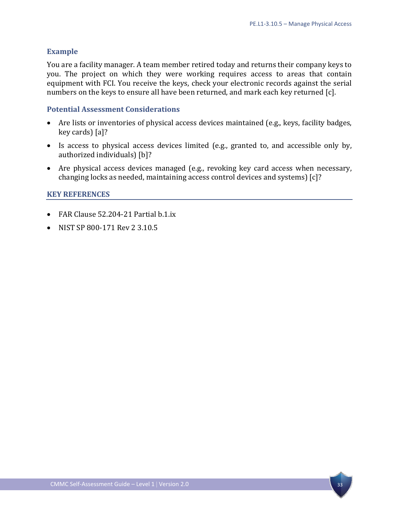#### **Example**

You are a facility manager. A team member retired today and returns their company keys to you. The project on which they were working requires access to areas that contain equipment with FCI. You receive the keys, check your electronic records against the serial numbers on the keys to ensure all have been returned, and mark each key returned [c].

#### **Potential Assessment Considerations**

- Are lists or inventories of physical access devices maintained (e.g., keys, facility badges, key cards) [a]?
- Is access to physical access devices limited (e.g., granted to, and accessible only by, authorized individuals) [b]?
- Are physical access devices managed (e.g., revoking key card access when necessary, changing locks as needed, maintaining access control devices and systems) [c]?

- FAR Clause 52.204-21 Partial b.1.ix
- NIST SP 800-171 Rev 2 3.10.5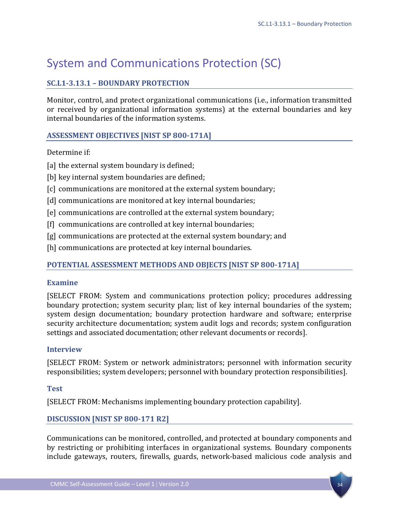# <span id="page-37-0"></span>System and Communications Protection (SC)

## <span id="page-37-1"></span>**SC.L1-3.13.1 – BOUNDARY PROTECTION**

Monitor, control, and protect organizational communications (i.e., information transmitted or received by organizational information systems) at the external boundaries and key internal boundaries of the information systems.

## **ASSESSMENT OBJECTIVES [NIST SP 800-171A]**

Determine if:

[a] the external system boundary is defined;

- [b] key internal system boundaries are defined;
- [c] communications are monitored at the external system boundary;
- [d] communications are monitored at key internal boundaries;
- [e] communications are controlled at the external system boundary;
- [f] communications are controlled at key internal boundaries;
- [g] communications are protected at the external system boundary; and
- [h] communications are protected at key internal boundaries.

## **POTENTIAL ASSESSMENT METHODS AND OBJECTS [NIST SP 800-171A]**

## **Examine**

[SELECT FROM: System and communications protection policy; procedures addressing boundary protection; system security plan; list of key internal boundaries of the system; system design documentation; boundary protection hardware and software; enterprise security architecture documentation; system audit logs and records; system configuration settings and associated documentation; other relevant documents or records].

#### **Interview**

[SELECT FROM: System or network administrators; personnel with information security responsibilities; system developers; personnel with boundary protection responsibilities].

## **Test**

[SELECT FROM: Mechanisms implementing boundary protection capability].

## **DISCUSSION [NIST SP 800-171 R2]**

Communications can be monitored, controlled, and protected at boundary components and by restricting or prohibiting interfaces in organizational systems. Boundary components include gateways, routers, firewalls, guards, network-based malicious code analysis and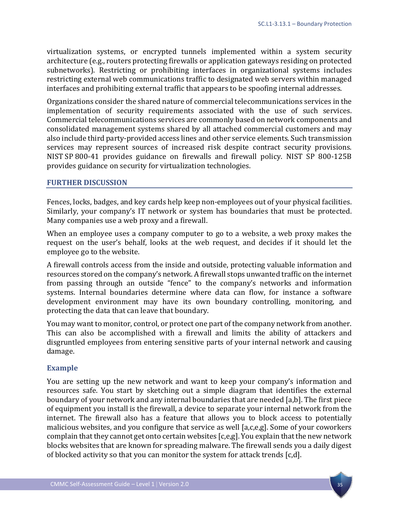virtualization systems, or encrypted tunnels implemented within a system security architecture (e.g., routers protecting firewalls or application gateways residing on protected subnetworks). Restricting or prohibiting interfaces in organizational systems includes restricting external web communications traffic to designated web servers within managed interfaces and prohibiting external traffic that appears to be spoofing internal addresses.

Organizations consider the shared nature of commercial telecommunications services in the implementation of security requirements associated with the use of such services. Commercial telecommunications services are commonly based on network components and consolidated management systems shared by all attached commercial customers and may also include third party-provided access lines and other service elements. Such transmission services may represent sources of increased risk despite contract security provisions. NIST SP 800-41 provides guidance on firewalls and firewall policy. NIST SP 800-125B provides guidance on security for virtualization technologies.

#### **FURTHER DISCUSSION**

Fences, locks, badges, and key cards help keep non-employees out of your physical facilities. Similarly, your company's IT network or system has boundaries that must be protected. Many companies use a web proxy and a firewall.

When an employee uses a company computer to go to a website, a web proxy makes the request on the user's behalf, looks at the web request, and decides if it should let the employee go to the website.

A firewall controls access from the inside and outside, protecting valuable information and resources stored on the company's network. A firewall stops unwanted traffic on the internet from passing through an outside "fence" to the company's networks and information systems. Internal boundaries determine where data can flow, for instance a software development environment may have its own boundary controlling, monitoring, and protecting the data that can leave that boundary.

You may want to monitor, control, or protect one part of the company network from another. This can also be accomplished with a firewall and limits the ability of attackers and disgruntled employees from entering sensitive parts of your internal network and causing damage.

#### **Example**

You are setting up the new network and want to keep your company's information and resources safe. You start by sketching out a simple diagram that identifies the external boundary of your network and any internal boundaries that are needed [a,b]. The first piece of equipment you install is the firewall, a device to separate your internal network from the internet. The firewall also has a feature that allows you to block access to potentially malicious websites, and you configure that service as well [a,c,e,g]. Some of your coworkers complain that they cannot get onto certain websites [c,e,g]. You explain that the new network blocks websites that are known for spreading malware. The firewall sends you a daily digest of blocked activity so that you can monitor the system for attack trends [c,d].

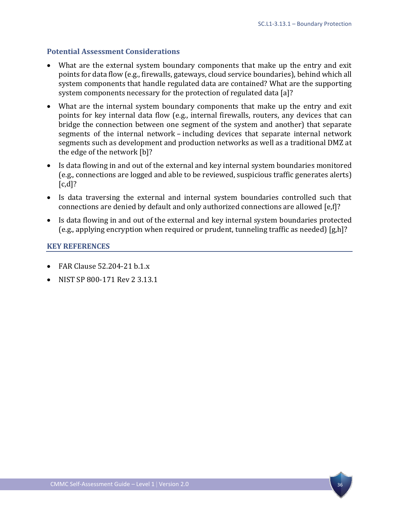## **Potential Assessment Considerations**

- What are the external system boundary components that make up the entry and exit points for data flow (e.g., firewalls, gateways, cloud service boundaries), behind which all system components that handle regulated data are contained? What are the supporting system components necessary for the protection of regulated data [a]?
- What are the internal system boundary components that make up the entry and exit points for key internal data flow (e.g., internal firewalls, routers, any devices that can bridge the connection between one segment of the system and another) that separate segments of the internal network – including devices that separate internal network segments such as development and production networks as well as a traditional DMZ at the edge of the network [b]?
- Is data flowing in and out of the external and key internal system boundaries monitored (e.g., connections are logged and able to be reviewed, suspicious traffic generates alerts)  $[c,d]$ ?
- Is data traversing the external and internal system boundaries controlled such that connections are denied by default and only authorized connections are allowed [e,f]?
- Is data flowing in and out of the external and key internal system boundaries protected (e.g., applying encryption when required or prudent, tunneling traffic as needed) [g,h]?

- FAR Clause 52.204-21 b.1.x
- NIST SP 800-171 Rev 2 3.13.1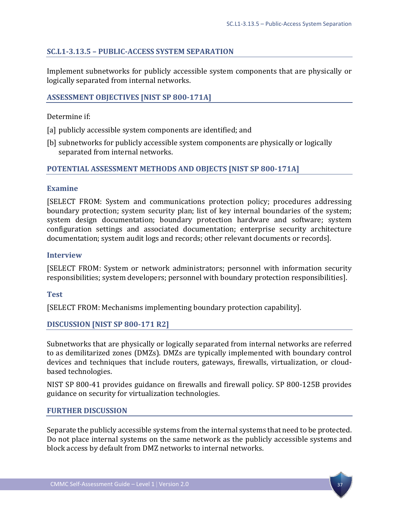## <span id="page-40-0"></span>**SC.L1-3.13.5 – PUBLIC-ACCESS SYSTEM SEPARATION**

Implement subnetworks for publicly accessible system components that are physically or logically separated from internal networks.

## **ASSESSMENT OBJECTIVES [NIST SP 800-171A]**

Determine if:

- [a] publicly accessible system components are identified; and
- [b] subnetworks for publicly accessible system components are physically or logically separated from internal networks.

## **POTENTIAL ASSESSMENT METHODS AND OBJECTS [NIST SP 800-171A]**

## **Examine**

[SELECT FROM: System and communications protection policy; procedures addressing boundary protection; system security plan; list of key internal boundaries of the system; system design documentation; boundary protection hardware and software; system configuration settings and associated documentation; enterprise security architecture documentation; system audit logs and records; other relevant documents or records].

#### **Interview**

[SELECT FROM: System or network administrators; personnel with information security responsibilities; system developers; personnel with boundary protection responsibilities].

#### **Test**

[SELECT FROM: Mechanisms implementing boundary protection capability].

#### **DISCUSSION [NIST SP 800-171 R2]**

Subnetworks that are physically or logically separated from internal networks are referred to as demilitarized zones (DMZs). DMZs are typically implemented with boundary control devices and techniques that include routers, gateways, firewalls, virtualization, or cloudbased technologies.

NIST SP 800-41 provides guidance on firewalls and firewall policy. SP 800-125B provides guidance on security for virtualization technologies.

#### **FURTHER DISCUSSION**

Separate the publicly accessible systems from the internal systems that need to be protected. Do not place internal systems on the same network as the publicly accessible systems and block access by default from DMZ networks to internal networks.

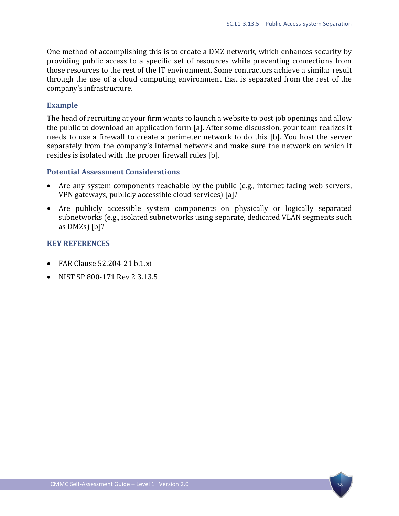One method of accomplishing this is to create a DMZ network, which enhances security by providing public access to a specific set of resources while preventing connections from those resources to the rest of the IT environment. Some contractors achieve a similar result through the use of a cloud computing environment that is separated from the rest of the company's infrastructure.

#### **Example**

The head of recruiting at your firm wants to launch a website to post job openings and allow the public to download an application form [a]. After some discussion, your team realizes it needs to use a firewall to create a perimeter network to do this [b]. You host the server separately from the company's internal network and make sure the network on which it resides is isolated with the proper firewall rules [b].

#### **Potential Assessment Considerations**

- Are any system components reachable by the public (e.g., internet-facing web servers, VPN gateways, publicly accessible cloud services) [a]?
- Are publicly accessible system components on physically or logically separated subnetworks (e.g., isolated subnetworks using separate, dedicated VLAN segments such as DMZs) [b]?

- FAR Clause 52.204-21 b.1.xi
- NIST SP 800-171 Rev 2 3.13.5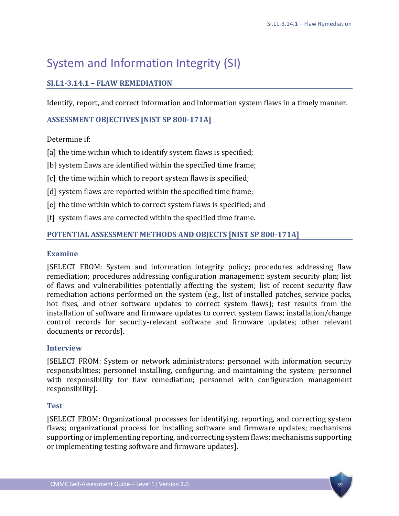# <span id="page-42-0"></span>System and Information Integrity (SI)

## <span id="page-42-1"></span>**SI.L1-3.14.1 – FLAW REMEDIATION**

Identify, report, and correct information and information system flaws in a timely manner.

## **ASSESSMENT OBJECTIVES [NIST SP 800-171A]**

## Determine if:

- [a] the time within which to identify system flaws is specified;
- [b] system flaws are identified within the specified time frame;
- [c] the time within which to report system flaws is specified;
- [d] system flaws are reported within the specified time frame;
- [e] the time within which to correct system flaws is specified; and
- [f] system flaws are corrected within the specified time frame.

## **POTENTIAL ASSESSMENT METHODS AND OBJECTS [NIST SP 800-171A]**

## **Examine**

[SELECT FROM: System and information integrity policy; procedures addressing flaw remediation; procedures addressing configuration management; system security plan; list of flaws and vulnerabilities potentially affecting the system; list of recent security flaw remediation actions performed on the system (e.g., list of installed patches, service packs, hot fixes, and other software updates to correct system flaws); test results from the installation of software and firmware updates to correct system flaws; installation/change control records for security-relevant software and firmware updates; other relevant documents or records].

## **Interview**

[SELECT FROM: System or network administrators; personnel with information security responsibilities; personnel installing, configuring, and maintaining the system; personnel with responsibility for flaw remediation; personnel with configuration management responsibility].

## **Test**

[SELECT FROM: Organizational processes for identifying, reporting, and correcting system flaws; organizational process for installing software and firmware updates; mechanisms supporting or implementing reporting, and correcting system flaws; mechanisms supporting or implementing testing software and firmware updates].

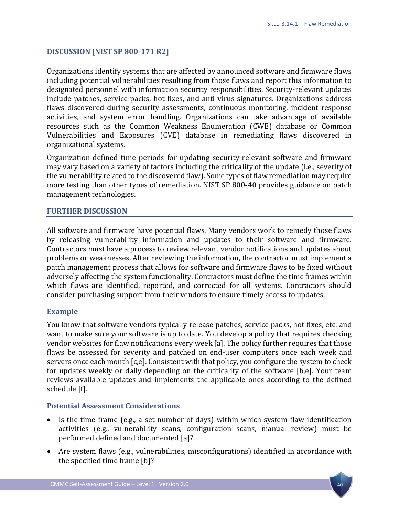## **DISCUSSION [NIST SP 800-171 R2]**

Organizations identify systems that are affected by announced software and firmware flaws including potential vulnerabilities resulting from those flaws and report this information to designated personnel with information security responsibilities. Security-relevant updates include patches, service packs, hot fixes, and anti-virus signatures. Organizations address flaws discovered during security assessments, continuous monitoring, incident response activities, and system error handling. Organizations can take advantage of available resources such as the Common Weakness Enumeration (CWE) database or Common Vulnerabilities and Exposures (CVE) database in remediating flaws discovered in organizational systems.

Organization-defined time periods for updating security-relevant software and firmware may vary based on a variety of factors including the criticality of the update (i.e., severity of the vulnerability related to the discovered flaw). Some types of flaw remediation may require more testing than other types of remediation. NIST SP 800-40 provides guidance on patch management technologies.

## **FURTHER DISCUSSION**

All software and firmware have potential flaws. Many vendors work to remedy those flaws by releasing vulnerability information and updates to their software and firmware. Contractors must have a process to review relevant vendor notifications and updates about problems or weaknesses. After reviewing the information, the contractor must implement a patch management process that allows for software and firmware flaws to be fixed without adversely affecting the system functionality. Contractors must define the time frames within which flaws are identified, reported, and corrected for all systems. Contractors should consider purchasing support from their vendors to ensure timely access to updates.

#### **Example**

You know that software vendors typically release patches, service packs, hot fixes, etc. and want to make sure your software is up to date. You develop a policy that requires checking vendor websites for flaw notifications every week [a]. The policy further requires that those flaws be assessed for severity and patched on end-user computers once each week and servers once each month [c,e]. Consistent with that policy, you configure the system to check for updates weekly or daily depending on the criticality of the software [b,e]. Your team reviews available updates and implements the applicable ones according to the defined schedule [f].

## **Potential Assessment Considerations**

- Is the time frame (e.g., a set number of days) within which system flaw identification activities (e.g., vulnerability scans, configuration scans, manual review) must be performed defined and documented [a]?
- Are system flaws (e.g., vulnerabilities, misconfigurations) identified in accordance with the specified time frame [b]?

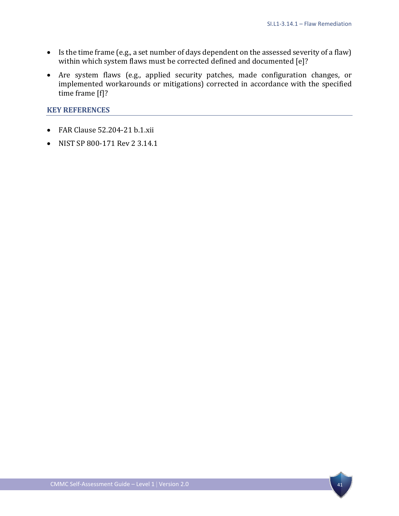- Is the time frame (e.g., a set number of days dependent on the assessed severity of a flaw) within which system flaws must be corrected defined and documented [e]?
- Are system flaws (e.g., applied security patches, made configuration changes, or implemented workarounds or mitigations) corrected in accordance with the specified time frame [f]?

- FAR Clause 52.204-21 b.1.xii
- NIST SP 800-171 Rev 2 3.14.1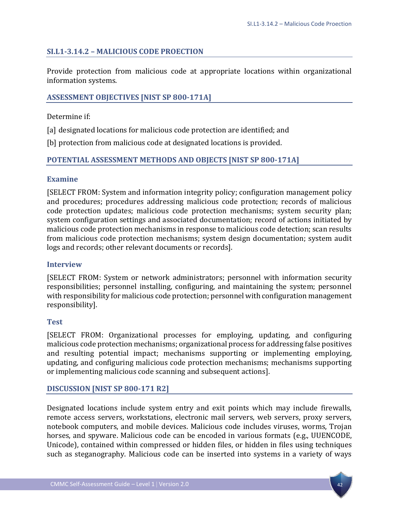## <span id="page-45-0"></span>**SI.L1-3.14.2 – MALICIOUS CODE PROECTION**

Provide protection from malicious code at appropriate locations within organizational information systems.

## **ASSESSMENT OBJECTIVES [NIST SP 800-171A]**

Determine if:

[a] designated locations for malicious code protection are identified; and

[b] protection from malicious code at designated locations is provided.

## **POTENTIAL ASSESSMENT METHODS AND OBJECTS [NIST SP 800-171A]**

#### **Examine**

[SELECT FROM: System and information integrity policy; configuration management policy and procedures; procedures addressing malicious code protection; records of malicious code protection updates; malicious code protection mechanisms; system security plan; system configuration settings and associated documentation; record of actions initiated by malicious code protection mechanisms in response to malicious code detection; scan results from malicious code protection mechanisms; system design documentation; system audit logs and records; other relevant documents or records].

#### **Interview**

[SELECT FROM: System or network administrators; personnel with information security responsibilities; personnel installing, configuring, and maintaining the system; personnel with responsibility for malicious code protection; personnel with configuration management responsibility].

#### **Test**

[SELECT FROM: Organizational processes for employing, updating, and configuring malicious code protection mechanisms; organizational process for addressing false positives and resulting potential impact; mechanisms supporting or implementing employing, updating, and configuring malicious code protection mechanisms; mechanisms supporting or implementing malicious code scanning and subsequent actions].

## **DISCUSSION [NIST SP 800-171 R2]**

Designated locations include system entry and exit points which may include firewalls, remote access servers, workstations, electronic mail servers, web servers, proxy servers, notebook computers, and mobile devices. Malicious code includes viruses, worms, Trojan horses, and spyware. Malicious code can be encoded in various formats (e.g., UUENCODE, Unicode), contained within compressed or hidden files, or hidden in files using techniques such as steganography. Malicious code can be inserted into systems in a variety of ways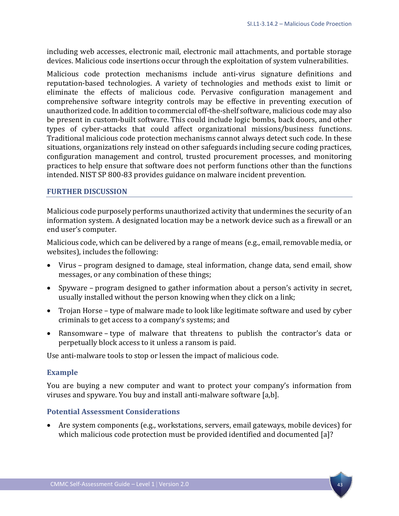including web accesses, electronic mail, electronic mail attachments, and portable storage devices. Malicious code insertions occur through the exploitation of system vulnerabilities.

Malicious code protection mechanisms include anti-virus signature definitions and reputation-based technologies. A variety of technologies and methods exist to limit or eliminate the effects of malicious code. Pervasive configuration management and comprehensive software integrity controls may be effective in preventing execution of unauthorized code. In addition to commercial off-the-shelf software, malicious code may also be present in custom-built software. This could include logic bombs, back doors, and other types of cyber-attacks that could affect organizational missions/business functions. Traditional malicious code protection mechanisms cannot always detect such code. In these situations, organizations rely instead on other safeguards including secure coding practices, configuration management and control, trusted procurement processes, and monitoring practices to help ensure that software does not perform functions other than the functions intended. NIST SP 800-83 provides guidance on malware incident prevention.

#### **FURTHER DISCUSSION**

Malicious code purposely performs unauthorized activity that undermines the security of an information system. A designated location may be a network device such as a firewall or an end user's computer.

Malicious code, which can be delivered by a range of means (e.g., email, removable media, or websites), includes the following:

- Virus program designed to damage, steal information, change data, send email, show messages, or any combination of these things;
- Spyware program designed to gather information about a person's activity in secret, usually installed without the person knowing when they click on a link;
- Trojan Horse type of malware made to look like legitimate software and used by cyber criminals to get access to a company's systems; and
- Ransomware type of malware that threatens to publish the contractor's data or perpetually block access to it unless a ransom is paid.

Use anti-malware tools to stop or lessen the impact of malicious code.

#### **Example**

You are buying a new computer and want to protect your company's information from viruses and spyware. You buy and install anti-malware software [a,b].

#### **Potential Assessment Considerations**

• Are system components (e.g., workstations, servers, email gateways, mobile devices) for which malicious code protection must be provided identified and documented [a]?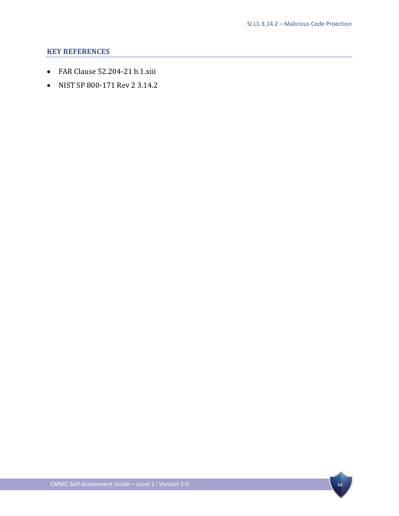- FAR Clause 52.204-21 b.1.xiii
- NIST SP 800-171 Rev 2 3.14.2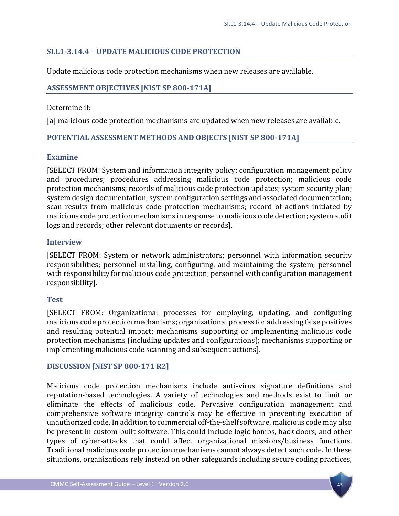## <span id="page-48-0"></span>**SI.L1-3.14.4 – UPDATE MALICIOUS CODE PROTECTION**

Update malicious code protection mechanisms when new releases are available.

## **ASSESSMENT OBJECTIVES [NIST SP 800-171A]**

## Determine if:

[a] malicious code protection mechanisms are updated when new releases are available.

## **POTENTIAL ASSESSMENT METHODS AND OBJECTS [NIST SP 800-171A]**

## **Examine**

[SELECT FROM: System and information integrity policy; configuration management policy and procedures; procedures addressing malicious code protection; malicious code protection mechanisms; records of malicious code protection updates; system security plan; system design documentation; system configuration settings and associated documentation; scan results from malicious code protection mechanisms; record of actions initiated by malicious code protection mechanisms in response to malicious code detection; system audit logs and records; other relevant documents or records].

## **Interview**

[SELECT FROM: System or network administrators; personnel with information security responsibilities; personnel installing, configuring, and maintaining the system; personnel with responsibility for malicious code protection; personnel with configuration management responsibility].

## **Test**

[SELECT FROM: Organizational processes for employing, updating, and configuring malicious code protection mechanisms; organizational process for addressing false positives and resulting potential impact; mechanisms supporting or implementing malicious code protection mechanisms (including updates and configurations); mechanisms supporting or implementing malicious code scanning and subsequent actions].

## **DISCUSSION [NIST SP 800-171 R2]**

Malicious code protection mechanisms include anti-virus signature definitions and reputation-based technologies. A variety of technologies and methods exist to limit or eliminate the effects of malicious code. Pervasive configuration management and comprehensive software integrity controls may be effective in preventing execution of unauthorized code. In addition to commercial off-the-shelf software, malicious code may also be present in custom-built software. This could include logic bombs, back doors, and other types of cyber-attacks that could affect organizational missions/business functions. Traditional malicious code protection mechanisms cannot always detect such code. In these situations, organizations rely instead on other safeguards including secure coding practices,

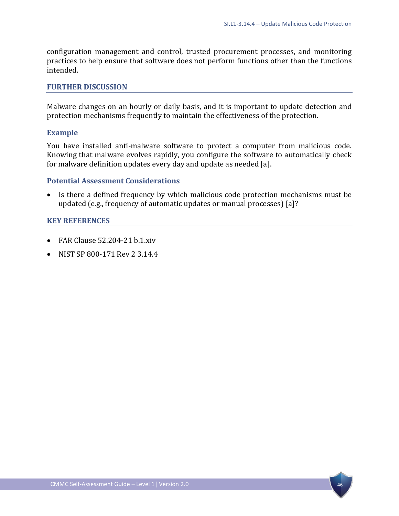configuration management and control, trusted procurement processes, and monitoring practices to help ensure that software does not perform functions other than the functions intended.

#### **FURTHER DISCUSSION**

Malware changes on an hourly or daily basis, and it is important to update detection and protection mechanisms frequently to maintain the effectiveness of the protection.

#### **Example**

You have installed anti-malware software to protect a computer from malicious code. Knowing that malware evolves rapidly, you configure the software to automatically check for malware definition updates every day and update as needed [a].

#### **Potential Assessment Considerations**

• Is there a defined frequency by which malicious code protection mechanisms must be updated (e.g., frequency of automatic updates or manual processes) [a]?

- FAR Clause 52.204-21 b.1.xiv
- NIST SP 800-171 Rev 2 3.14.4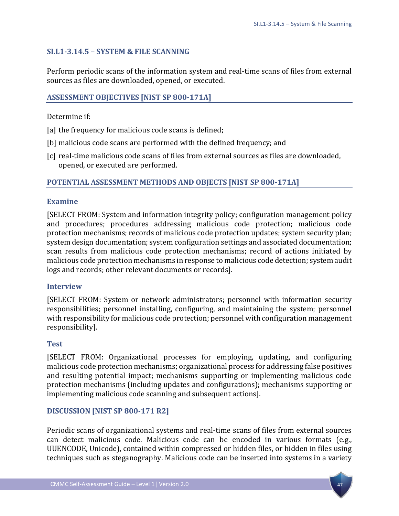## <span id="page-50-0"></span>**SI.L1-3.14.5 – SYSTEM & FILE SCANNING**

Perform periodic scans of the information system and real-time scans of files from external sources as files are downloaded, opened, or executed.

#### **ASSESSMENT OBJECTIVES [NIST SP 800-171A]**

Determine if:

- [a] the frequency for malicious code scans is defined;
- [b] malicious code scans are performed with the defined frequency; and
- [c] real-time malicious code scans of files from external sources as files are downloaded, opened, or executed are performed.

## **POTENTIAL ASSESSMENT METHODS AND OBJECTS [NIST SP 800-171A]**

#### **Examine**

[SELECT FROM: System and information integrity policy; configuration management policy and procedures; procedures addressing malicious code protection; malicious code protection mechanisms; records of malicious code protection updates; system security plan; system design documentation; system configuration settings and associated documentation; scan results from malicious code protection mechanisms; record of actions initiated by malicious code protection mechanisms in response to malicious code detection; system audit logs and records; other relevant documents or records].

#### **Interview**

[SELECT FROM: System or network administrators; personnel with information security responsibilities; personnel installing, configuring, and maintaining the system; personnel with responsibility for malicious code protection; personnel with configuration management responsibility].

#### **Test**

[SELECT FROM: Organizational processes for employing, updating, and configuring malicious code protection mechanisms; organizational process for addressing false positives and resulting potential impact; mechanisms supporting or implementing malicious code protection mechanisms (including updates and configurations); mechanisms supporting or implementing malicious code scanning and subsequent actions].

#### **DISCUSSION [NIST SP 800-171 R2]**

Periodic scans of organizational systems and real-time scans of files from external sources can detect malicious code. Malicious code can be encoded in various formats (e.g., UUENCODE, Unicode), contained within compressed or hidden files, or hidden in files using techniques such as steganography. Malicious code can be inserted into systems in a variety

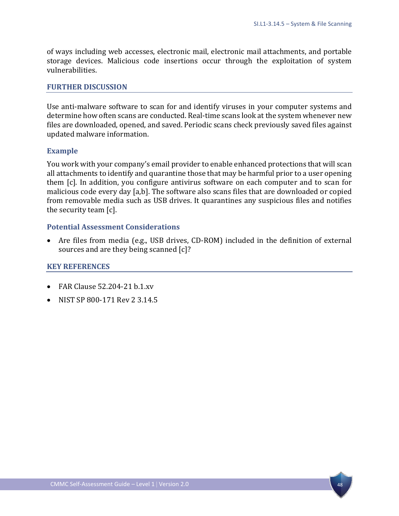of ways including web accesses, electronic mail, electronic mail attachments, and portable storage devices. Malicious code insertions occur through the exploitation of system vulnerabilities.

#### **FURTHER DISCUSSION**

Use anti-malware software to scan for and identify viruses in your computer systems and determine how often scans are conducted. Real-time scans look at the system whenever new files are downloaded, opened, and saved. Periodic scans check previously saved files against updated malware information.

#### **Example**

You work with your company's email provider to enable enhanced protections that will scan all attachments to identify and quarantine those that may be harmful prior to a user opening them [c]. In addition, you configure antivirus software on each computer and to scan for malicious code every day [a,b]. The software also scans files that are downloaded or copied from removable media such as USB drives. It quarantines any suspicious files and notifies the security team [c].

#### **Potential Assessment Considerations**

• Are files from media (e.g., USB drives, CD-ROM) included in the definition of external sources and are they being scanned [c]?

- FAR Clause 52.204-21 b.1.xv
- NIST SP 800-171 Rev 2 3.14.5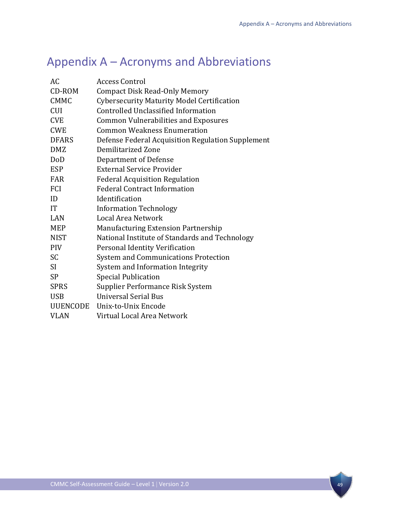# <span id="page-52-0"></span>Appendix A – Acronyms and Abbreviations

| AC.             | <b>Access Control</b>                             |
|-----------------|---------------------------------------------------|
| CD-ROM          | <b>Compact Disk Read-Only Memory</b>              |
| <b>CMMC</b>     | <b>Cybersecurity Maturity Model Certification</b> |
| <b>CUI</b>      | <b>Controlled Unclassified Information</b>        |
| <b>CVE</b>      | <b>Common Vulnerabilities and Exposures</b>       |
| <b>CWE</b>      | <b>Common Weakness Enumeration</b>                |
| <b>DFARS</b>    | Defense Federal Acquisition Regulation Supplement |
| <b>DMZ</b>      | Demilitarized Zone                                |
| DoD             | Department of Defense                             |
| <b>ESP</b>      | <b>External Service Provider</b>                  |
| <b>FAR</b>      | <b>Federal Acquisition Regulation</b>             |
| FCI             | <b>Federal Contract Information</b>               |
| ID              | Identification                                    |
| <b>IT</b>       | <b>Information Technology</b>                     |
| LAN             | Local Area Network                                |
| <b>MEP</b>      | <b>Manufacturing Extension Partnership</b>        |
| <b>NIST</b>     | National Institute of Standards and Technology    |
| <b>PIV</b>      | Personal Identity Verification                    |
| <b>SC</b>       | System and Communications Protection              |
| SI <sup>-</sup> | System and Information Integrity                  |
| <b>SP</b>       | <b>Special Publication</b>                        |
| <b>SPRS</b>     | Supplier Performance Risk System                  |
| <b>USB</b>      | <b>Universal Serial Bus</b>                       |
| UUENCODE        | Unix-to-Unix Encode                               |
| <b>VLAN</b>     | Virtual Local Area Network                        |
|                 |                                                   |